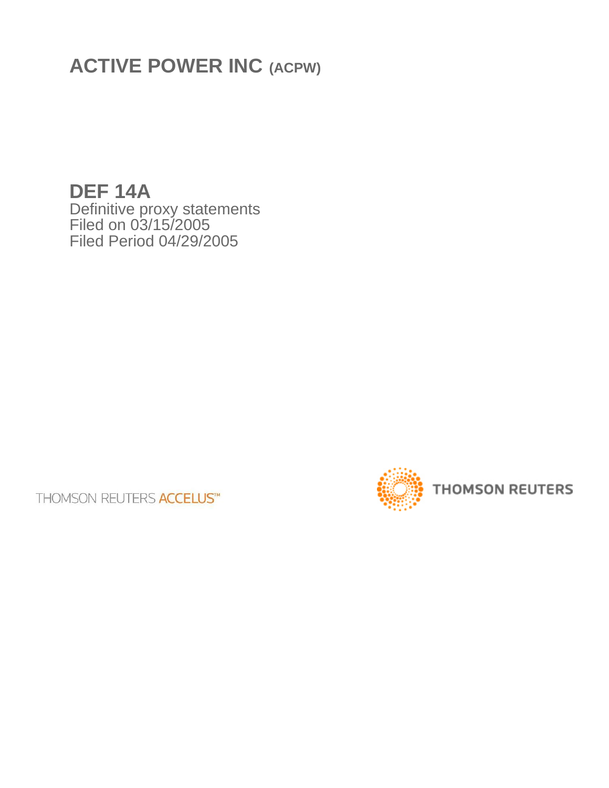**ACTIVE POWER INC (ACPW)**

**DEF 14A** Definitive proxy statements Filed on 03/15/2005 Filed Period 04/29/2005

**THOMSON REUTERS ACCELUS™** 

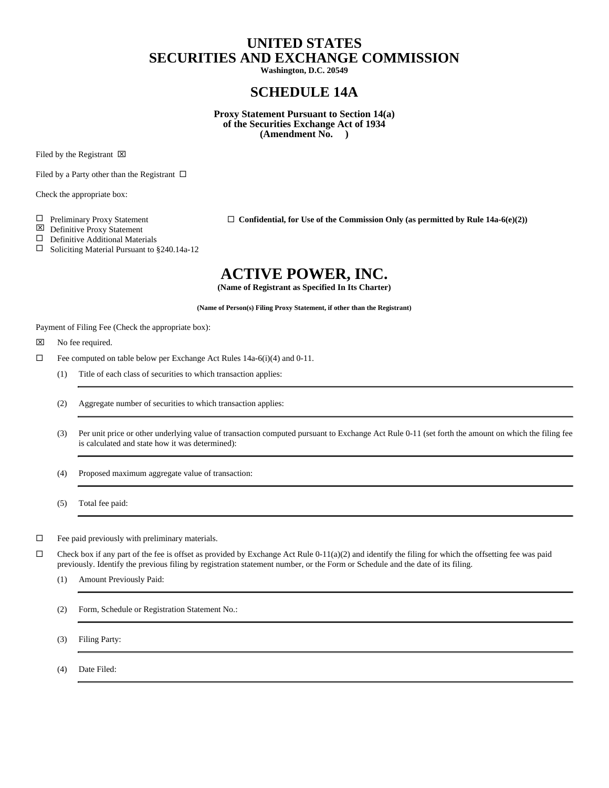# **UNITED STATES SECURITIES AND EXCHANGE COMMISSION**

**Washington, D.C. 20549**

# **SCHEDULE 14A**

**Proxy Statement Pursuant to Section 14(a) of the Securities Exchange Act of 1934 (Amendment No. )**

Filed by the Registrant  $\boxtimes$ 

Filed by a Party other than the Registrant  $\Box$ 

Check the appropriate box:

 $\Box$  Preliminary Proxy Statement  $\Box$  **Confidential, for Use of the Commission Only (as permitted by Rule 14a-6(e)(2)**)

 $\boxtimes$  Definitive Proxy Statement

 $\square$  Definitive Additional Materials

 $\Box$  Soliciting Material Pursuant to §240.14a-12

# **ACTIVE POWER, INC.**

**(Name of Registrant as Specified In Its Charter)**

**(Name of Person(s) Filing Proxy Statement, if other than the Registrant)**

Payment of Filing Fee (Check the appropriate box):

 $\boxtimes$  No fee required.

- $\Box$  Fee computed on table below per Exchange Act Rules 14a-6(i)(4) and 0-11.
	- (1) Title of each class of securities to which transaction applies:
	- (2) Aggregate number of securities to which transaction applies:
	- (3) Per unit price or other underlying value of transaction computed pursuant to Exchange Act Rule 0-11 (set forth the amount on which the filing fee is calculated and state how it was determined):

(4) Proposed maximum aggregate value of transaction:

(5) Total fee paid:

 $\square$  Fee paid previously with preliminary materials.

 $\Box$  Check box if any part of the fee is offset as provided by Exchange Act Rule 0-11(a)(2) and identify the filing for which the offsetting fee was paid previously. Identify the previous filing by registration statement number, or the Form or Schedule and the date of its filing.

(1) Amount Previously Paid:

(2) Form, Schedule or Registration Statement No.:

(3) Filing Party:

(4) Date Filed: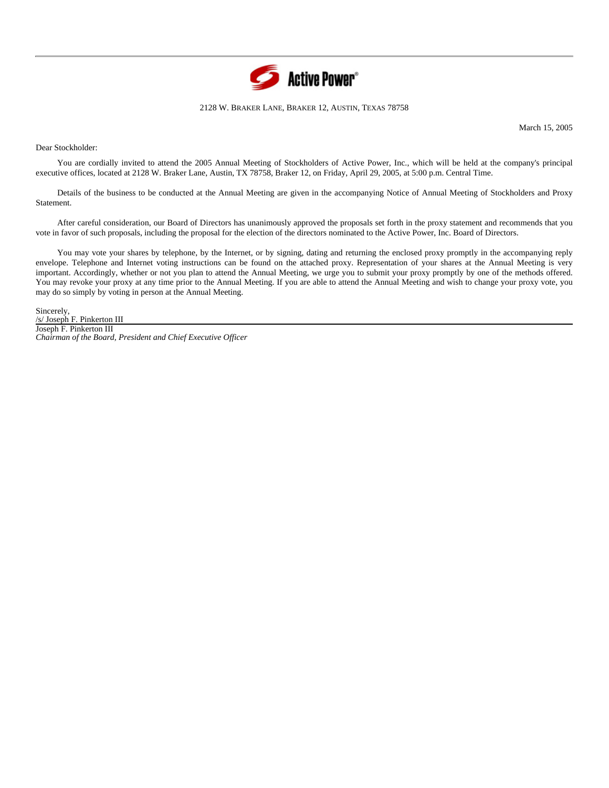

## 2128 W. BRAKER LANE, BRAKER 12, AUSTIN, TEXAS 78758

March 15, 2005

Dear Stockholder:

You are cordially invited to attend the 2005 Annual Meeting of Stockholders of Active Power, Inc., which will be held at the company's principal executive offices, located at 2128 W. Braker Lane, Austin, TX 78758, Braker 12, on Friday, April 29, 2005, at 5:00 p.m. Central Time.

Details of the business to be conducted at the Annual Meeting are given in the accompanying Notice of Annual Meeting of Stockholders and Proxy Statement.

After careful consideration, our Board of Directors has unanimously approved the proposals set forth in the proxy statement and recommends that you vote in favor of such proposals, including the proposal for the election of the directors nominated to the Active Power, Inc. Board of Directors.

You may vote your shares by telephone, by the Internet, or by signing, dating and returning the enclosed proxy promptly in the accompanying reply envelope. Telephone and Internet voting instructions can be found on the attached proxy. Representation of your shares at the Annual Meeting is very important. Accordingly, whether or not you plan to attend the Annual Meeting, we urge you to submit your proxy promptly by one of the methods offered. You may revoke your proxy at any time prior to the Annual Meeting. If you are able to attend the Annual Meeting and wish to change your proxy vote, you may do so simply by voting in person at the Annual Meeting.

Sincerely, /s/ Joseph F. Pinkerton III Joseph F. Pinkerton III *Chairman of the Board, President and Chief Executive Officer*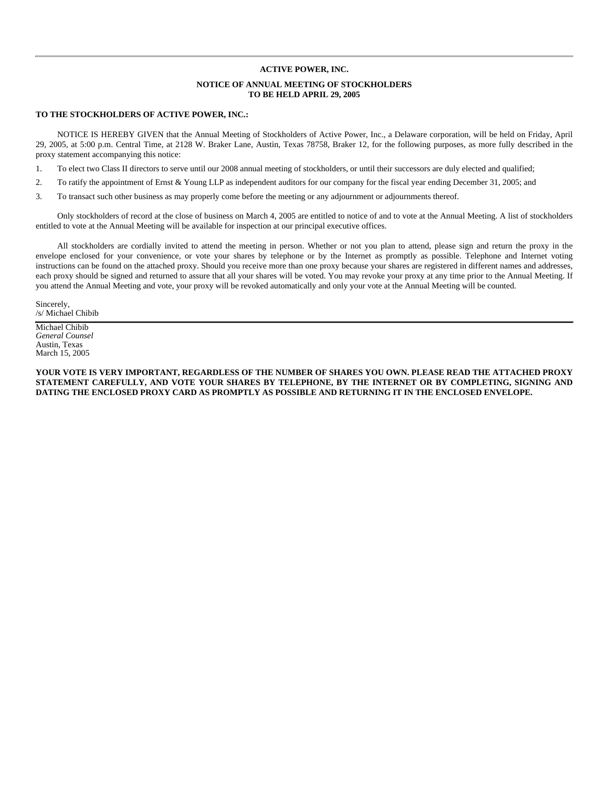# **ACTIVE POWER, INC.**

# **NOTICE OF ANNUAL MEETING OF STOCKHOLDERS TO BE HELD APRIL 29, 2005**

# **TO THE STOCKHOLDERS OF ACTIVE POWER, INC.:**

NOTICE IS HEREBY GIVEN that the Annual Meeting of Stockholders of Active Power, Inc., a Delaware corporation, will be held on Friday, April 29, 2005, at 5:00 p.m. Central Time, at 2128 W. Braker Lane, Austin, Texas 78758, Braker 12, for the following purposes, as more fully described in the proxy statement accompanying this notice:

1. To elect two Class II directors to serve until our 2008 annual meeting of stockholders, or until their successors are duly elected and qualified;

2. To ratify the appointment of Ernst & Young LLP as independent auditors for our company for the fiscal year ending December 31, 2005; and

3. To transact such other business as may properly come before the meeting or any adjournment or adjournments thereof.

Only stockholders of record at the close of business on March 4, 2005 are entitled to notice of and to vote at the Annual Meeting. A list of stockholders entitled to vote at the Annual Meeting will be available for inspection at our principal executive offices.

All stockholders are cordially invited to attend the meeting in person. Whether or not you plan to attend, please sign and return the proxy in the envelope enclosed for your convenience, or vote your shares by telephone or by the Internet as promptly as possible. Telephone and Internet voting instructions can be found on the attached proxy. Should you receive more than one proxy because your shares are registered in different names and addresses, each proxy should be signed and returned to assure that all your shares will be voted. You may revoke your proxy at any time prior to the Annual Meeting. If you attend the Annual Meeting and vote, your proxy will be revoked automatically and only your vote at the Annual Meeting will be counted.

Sincerely, /s/ Michael Chibib

Michael Chibib *General Counsel* Austin, Texas March 15, 2005

**YOUR VOTE IS VERY IMPORTANT, REGARDLESS OF THE NUMBER OF SHARES YOU OWN. PLEASE READ THE ATTACHED PROXY STATEMENT CAREFULLY, AND VOTE YOUR SHARES BY TELEPHONE, BY THE INTERNET OR BY COMPLETING, SIGNING AND DATING THE ENCLOSED PROXY CARD AS PROMPTLY AS POSSIBLE AND RETURNING IT IN THE ENCLOSED ENVELOPE.**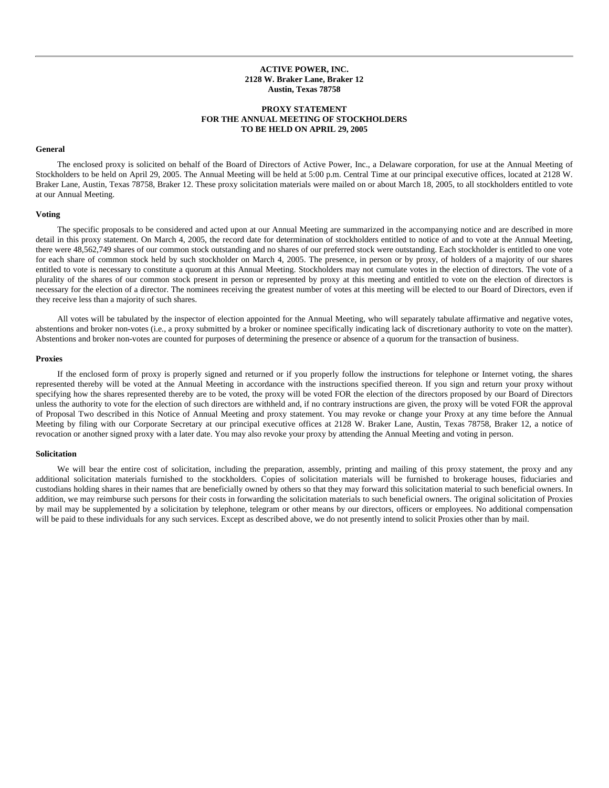# **ACTIVE POWER, INC. 2128 W. Braker Lane, Braker 12 Austin, Texas 78758**

# **PROXY STATEMENT FOR THE ANNUAL MEETING OF STOCKHOLDERS TO BE HELD ON APRIL 29, 2005**

## **General**

The enclosed proxy is solicited on behalf of the Board of Directors of Active Power, Inc., a Delaware corporation, for use at the Annual Meeting of Stockholders to be held on April 29, 2005. The Annual Meeting will be held at 5:00 p.m. Central Time at our principal executive offices, located at 2128 W. Braker Lane, Austin, Texas 78758, Braker 12. These proxy solicitation materials were mailed on or about March 18, 2005, to all stockholders entitled to vote at our Annual Meeting.

#### **Voting**

The specific proposals to be considered and acted upon at our Annual Meeting are summarized in the accompanying notice and are described in more detail in this proxy statement. On March 4, 2005, the record date for determination of stockholders entitled to notice of and to vote at the Annual Meeting, there were 48,562,749 shares of our common stock outstanding and no shares of our preferred stock were outstanding. Each stockholder is entitled to one vote for each share of common stock held by such stockholder on March 4, 2005. The presence, in person or by proxy, of holders of a majority of our shares entitled to vote is necessary to constitute a quorum at this Annual Meeting. Stockholders may not cumulate votes in the election of directors. The vote of a plurality of the shares of our common stock present in person or represented by proxy at this meeting and entitled to vote on the election of directors is necessary for the election of a director. The nominees receiving the greatest number of votes at this meeting will be elected to our Board of Directors, even if they receive less than a majority of such shares.

All votes will be tabulated by the inspector of election appointed for the Annual Meeting, who will separately tabulate affirmative and negative votes, abstentions and broker non-votes (i.e., a proxy submitted by a broker or nominee specifically indicating lack of discretionary authority to vote on the matter). Abstentions and broker non-votes are counted for purposes of determining the presence or absence of a quorum for the transaction of business.

#### **Proxies**

If the enclosed form of proxy is properly signed and returned or if you properly follow the instructions for telephone or Internet voting, the shares represented thereby will be voted at the Annual Meeting in accordance with the instructions specified thereon. If you sign and return your proxy without specifying how the shares represented thereby are to be voted, the proxy will be voted FOR the election of the directors proposed by our Board of Directors unless the authority to vote for the election of such directors are withheld and, if no contrary instructions are given, the proxy will be voted FOR the approval of Proposal Two described in this Notice of Annual Meeting and proxy statement. You may revoke or change your Proxy at any time before the Annual Meeting by filing with our Corporate Secretary at our principal executive offices at 2128 W. Braker Lane, Austin, Texas 78758, Braker 12, a notice of revocation or another signed proxy with a later date. You may also revoke your proxy by attending the Annual Meeting and voting in person.

#### **Solicitation**

We will bear the entire cost of solicitation, including the preparation, assembly, printing and mailing of this proxy statement, the proxy and any additional solicitation materials furnished to the stockholders. Copies of solicitation materials will be furnished to brokerage houses, fiduciaries and custodians holding shares in their names that are beneficially owned by others so that they may forward this solicitation material to such beneficial owners. In addition, we may reimburse such persons for their costs in forwarding the solicitation materials to such beneficial owners. The original solicitation of Proxies by mail may be supplemented by a solicitation by telephone, telegram or other means by our directors, officers or employees. No additional compensation will be paid to these individuals for any such services. Except as described above, we do not presently intend to solicit Proxies other than by mail.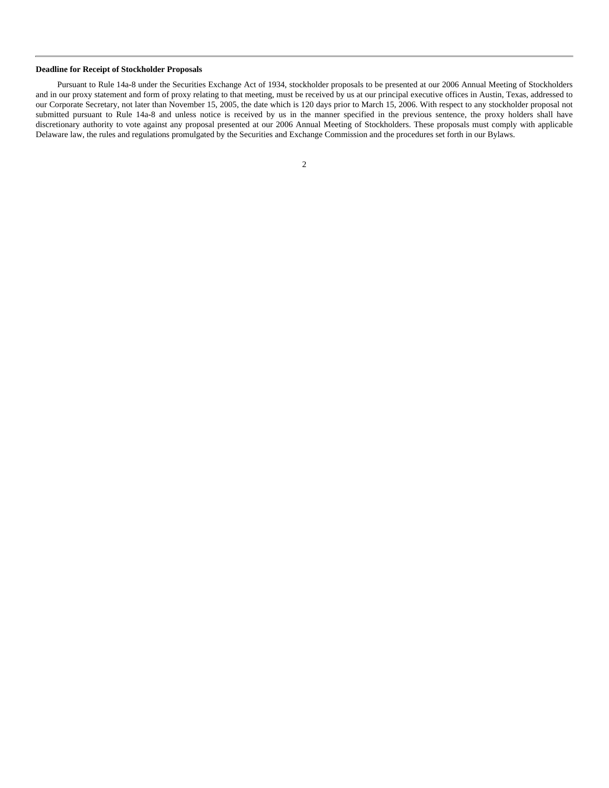# **Deadline for Receipt of Stockholder Proposals**

Pursuant to Rule 14a-8 under the Securities Exchange Act of 1934, stockholder proposals to be presented at our 2006 Annual Meeting of Stockholders and in our proxy statement and form of proxy relating to that meeting, must be received by us at our principal executive offices in Austin, Texas, addressed to our Corporate Secretary, not later than November 15, 2005, the date which is 120 days prior to March 15, 2006. With respect to any stockholder proposal not submitted pursuant to Rule 14a-8 and unless notice is received by us in the manner specified in the previous sentence, the proxy holders shall have discretionary authority to vote against any proposal presented at our 2006 Annual Meeting of Stockholders. These proposals must comply with applicable Delaware law, the rules and regulations promulgated by the Securities and Exchange Commission and the procedures set forth in our Bylaws.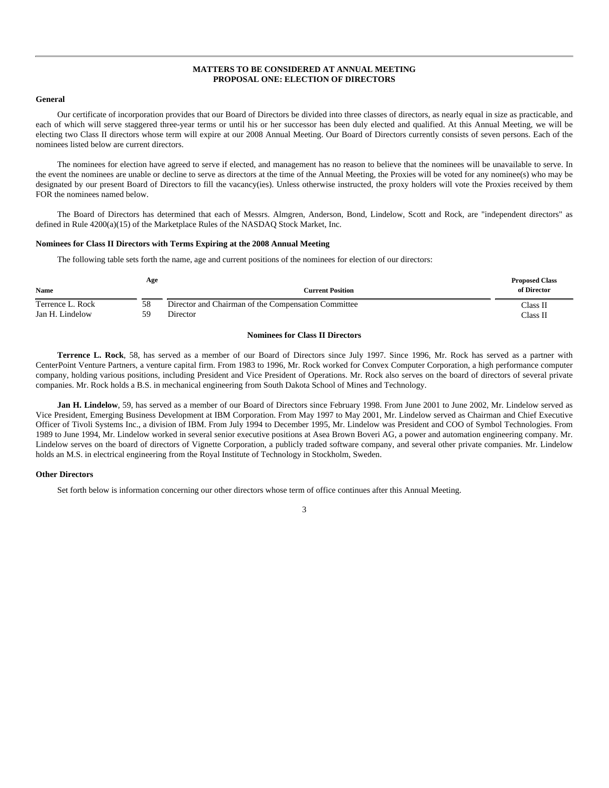# **MATTERS TO BE CONSIDERED AT ANNUAL MEETING PROPOSAL ONE: ELECTION OF DIRECTORS**

## **General**

Our certificate of incorporation provides that our Board of Directors be divided into three classes of directors, as nearly equal in size as practicable, and each of which will serve staggered three-year terms or until his or her successor has been duly elected and qualified. At this Annual Meeting, we will be electing two Class II directors whose term will expire at our 2008 Annual Meeting. Our Board of Directors currently consists of seven persons. Each of the nominees listed below are current directors.

The nominees for election have agreed to serve if elected, and management has no reason to believe that the nominees will be unavailable to serve. In the event the nominees are unable or decline to serve as directors at the time of the Annual Meeting, the Proxies will be voted for any nominee(s) who may be designated by our present Board of Directors to fill the vacancy(ies). Unless otherwise instructed, the proxy holders will vote the Proxies received by them FOR the nominees named below.

The Board of Directors has determined that each of Messrs. Almgren, Anderson, Bond, Lindelow, Scott and Rock, are "independent directors" as defined in Rule 4200(a)(15) of the Marketplace Rules of the NASDAQ Stock Market, Inc.

## **Nominees for Class II Directors with Terms Expiring at the 2008 Annual Meeting**

The following table sets forth the name, age and current positions of the nominees for election of our directors:

| <b>Name</b>      | Age | <b>Current Position</b>                             | <b>Proposed Class</b><br>of Director |
|------------------|-----|-----------------------------------------------------|--------------------------------------|
| Terrence L. Rock | 58  | Director and Chairman of the Compensation Committee | Class II                             |
| Jan H. Lindelow  | 50  | Director                                            | Class II                             |

## **Nominees for Class II Directors**

**Terrence L. Rock**, 58, has served as a member of our Board of Directors since July 1997. Since 1996, Mr. Rock has served as a partner with CenterPoint Venture Partners, a venture capital firm. From 1983 to 1996, Mr. Rock worked for Convex Computer Corporation, a high performance computer company, holding various positions, including President and Vice President of Operations. Mr. Rock also serves on the board of directors of several private companies. Mr. Rock holds a B.S. in mechanical engineering from South Dakota School of Mines and Technology.

**Jan H. Lindelow**, 59, has served as a member of our Board of Directors since February 1998. From June 2001 to June 2002, Mr. Lindelow served as Vice President, Emerging Business Development at IBM Corporation. From May 1997 to May 2001, Mr. Lindelow served as Chairman and Chief Executive Officer of Tivoli Systems Inc., a division of IBM. From July 1994 to December 1995, Mr. Lindelow was President and COO of Symbol Technologies. From 1989 to June 1994, Mr. Lindelow worked in several senior executive positions at Asea Brown Boveri AG, a power and automation engineering company. Mr. Lindelow serves on the board of directors of Vignette Corporation, a publicly traded software company, and several other private companies. Mr. Lindelow holds an M.S. in electrical engineering from the Royal Institute of Technology in Stockholm, Sweden.

#### **Other Directors**

Set forth below is information concerning our other directors whose term of office continues after this Annual Meeting.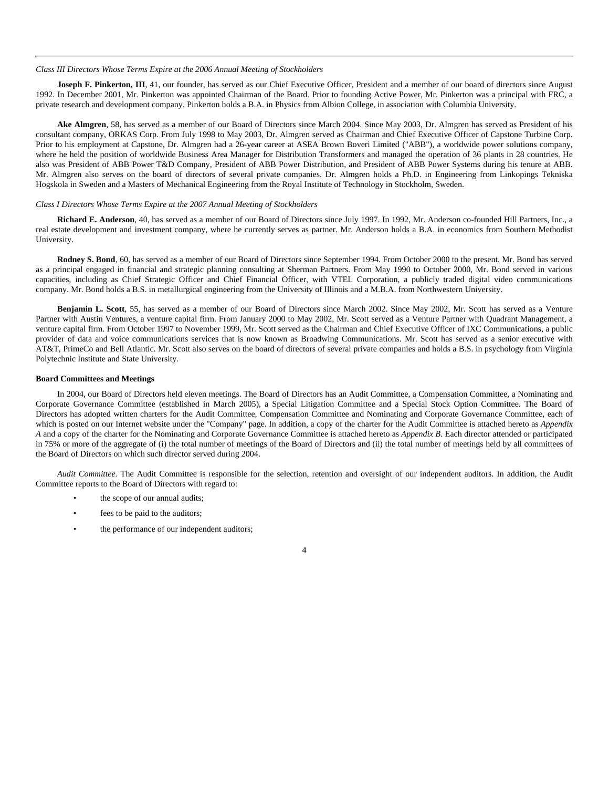## *Class III Directors Whose Terms Expire at the 2006 Annual Meeting of Stockholders*

**Joseph F. Pinkerton, III**, 41, our founder, has served as our Chief Executive Officer, President and a member of our board of directors since August 1992. In December 2001, Mr. Pinkerton was appointed Chairman of the Board. Prior to founding Active Power, Mr. Pinkerton was a principal with FRC, a private research and development company. Pinkerton holds a B.A. in Physics from Albion College, in association with Columbia University.

**Ake Almgren**, 58, has served as a member of our Board of Directors since March 2004. Since May 2003, Dr. Almgren has served as President of his consultant company, ORKAS Corp. From July 1998 to May 2003, Dr. Almgren served as Chairman and Chief Executive Officer of Capstone Turbine Corp. Prior to his employment at Capstone, Dr. Almgren had a 26-year career at ASEA Brown Boveri Limited ("ABB"), a worldwide power solutions company, where he held the position of worldwide Business Area Manager for Distribution Transformers and managed the operation of 36 plants in 28 countries. He also was President of ABB Power T&D Company, President of ABB Power Distribution, and President of ABB Power Systems during his tenure at ABB. Mr. Almgren also serves on the board of directors of several private companies. Dr. Almgren holds a Ph.D. in Engineering from Linkopings Tekniska Hogskola in Sweden and a Masters of Mechanical Engineering from the Royal Institute of Technology in Stockholm, Sweden.

#### *Class I Directors Whose Terms Expire at the 2007 Annual Meeting of Stockholders*

**Richard E. Anderson**, 40, has served as a member of our Board of Directors since July 1997. In 1992, Mr. Anderson co-founded Hill Partners, Inc., a real estate development and investment company, where he currently serves as partner. Mr. Anderson holds a B.A. in economics from Southern Methodist University.

**Rodney S. Bond**, 60, has served as a member of our Board of Directors since September 1994. From October 2000 to the present, Mr. Bond has served as a principal engaged in financial and strategic planning consulting at Sherman Partners. From May 1990 to October 2000, Mr. Bond served in various capacities, including as Chief Strategic Officer and Chief Financial Officer, with VTEL Corporation, a publicly traded digital video communications company. Mr. Bond holds a B.S. in metallurgical engineering from the University of Illinois and a M.B.A. from Northwestern University.

**Benjamin L. Scott**, 55, has served as a member of our Board of Directors since March 2002. Since May 2002, Mr. Scott has served as a Venture Partner with Austin Ventures, a venture capital firm. From January 2000 to May 2002, Mr. Scott served as a Venture Partner with Quadrant Management, a venture capital firm. From October 1997 to November 1999, Mr. Scott served as the Chairman and Chief Executive Officer of IXC Communications, a public provider of data and voice communications services that is now known as Broadwing Communications. Mr. Scott has served as a senior executive with AT&T, PrimeCo and Bell Atlantic. Mr. Scott also serves on the board of directors of several private companies and holds a B.S. in psychology from Virginia Polytechnic Institute and State University.

## **Board Committees and Meetings**

In 2004, our Board of Directors held eleven meetings. The Board of Directors has an Audit Committee, a Compensation Committee, a Nominating and Corporate Governance Committee (established in March 2005), a Special Litigation Committee and a Special Stock Option Committee. The Board of Directors has adopted written charters for the Audit Committee, Compensation Committee and Nominating and Corporate Governance Committee, each of which is posted on our Internet website under the "Company" page. In addition, a copy of the charter for the Audit Committee is attached hereto as *Appendix A* and a copy of the charter for the Nominating and Corporate Governance Committee is attached hereto as *Appendix B*. Each director attended or participated in 75% or more of the aggregate of (i) the total number of meetings of the Board of Directors and (ii) the total number of meetings held by all committees of the Board of Directors on which such director served during 2004.

*Audit Committee*. The Audit Committee is responsible for the selection, retention and oversight of our independent auditors. In addition, the Audit Committee reports to the Board of Directors with regard to:

- the scope of our annual audits;
- fees to be paid to the auditors;
- the performance of our independent auditors;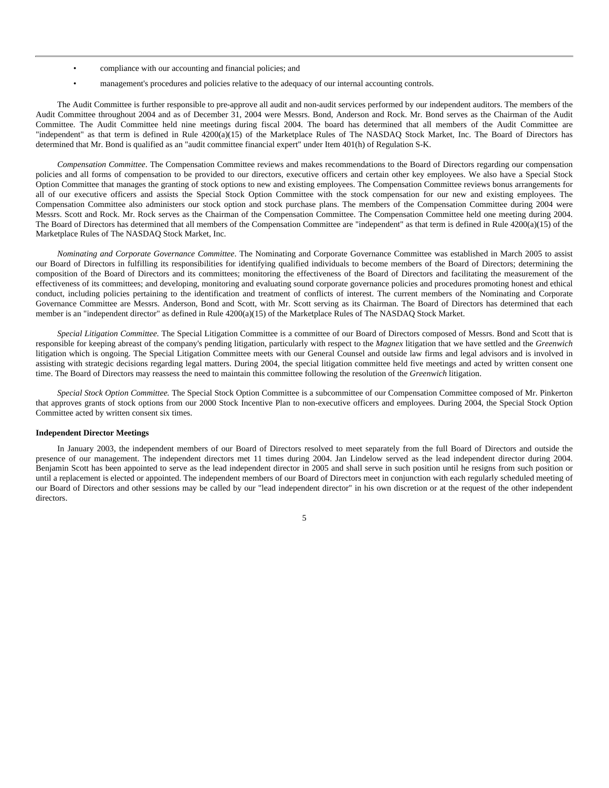- compliance with our accounting and financial policies; and
- management's procedures and policies relative to the adequacy of our internal accounting controls.

The Audit Committee is further responsible to pre-approve all audit and non-audit services performed by our independent auditors. The members of the Audit Committee throughout 2004 and as of December 31, 2004 were Messrs. Bond, Anderson and Rock. Mr. Bond serves as the Chairman of the Audit Committee. The Audit Committee held nine meetings during fiscal 2004. The board has determined that all members of the Audit Committee are "independent" as that term is defined in Rule 4200(a)(15) of the Marketplace Rules of The NASDAQ Stock Market, Inc. The Board of Directors has determined that Mr. Bond is qualified as an "audit committee financial expert" under Item 401(h) of Regulation S-K.

*Compensation Committee*. The Compensation Committee reviews and makes recommendations to the Board of Directors regarding our compensation policies and all forms of compensation to be provided to our directors, executive officers and certain other key employees. We also have a Special Stock Option Committee that manages the granting of stock options to new and existing employees. The Compensation Committee reviews bonus arrangements for all of our executive officers and assists the Special Stock Option Committee with the stock compensation for our new and existing employees. The Compensation Committee also administers our stock option and stock purchase plans. The members of the Compensation Committee during 2004 were Messrs. Scott and Rock. Mr. Rock serves as the Chairman of the Compensation Committee. The Compensation Committee held one meeting during 2004. The Board of Directors has determined that all members of the Compensation Committee are "independent" as that term is defined in Rule 4200(a)(15) of the Marketplace Rules of The NASDAQ Stock Market, Inc.

*Nominating and Corporate Governance Committee*. The Nominating and Corporate Governance Committee was established in March 2005 to assist our Board of Directors in fulfilling its responsibilities for identifying qualified individuals to become members of the Board of Directors; determining the composition of the Board of Directors and its committees; monitoring the effectiveness of the Board of Directors and facilitating the measurement of the effectiveness of its committees; and developing, monitoring and evaluating sound corporate governance policies and procedures promoting honest and ethical conduct, including policies pertaining to the identification and treatment of conflicts of interest. The current members of the Nominating and Corporate Governance Committee are Messrs. Anderson, Bond and Scott, with Mr. Scott serving as its Chairman. The Board of Directors has determined that each member is an "independent director" as defined in Rule 4200(a)(15) of the Marketplace Rules of The NASDAQ Stock Market.

*Special Litigation Committee.* The Special Litigation Committee is a committee of our Board of Directors composed of Messrs. Bond and Scott that is responsible for keeping abreast of the company's pending litigation, particularly with respect to the *Magnex* litigation that we have settled and the *Greenwich* litigation which is ongoing. The Special Litigation Committee meets with our General Counsel and outside law firms and legal advisors and is involved in assisting with strategic decisions regarding legal matters. During 2004, the special litigation committee held five meetings and acted by written consent one time. The Board of Directors may reassess the need to maintain this committee following the resolution of the *Greenwich* litigation.

*Special Stock Option Committee.* The Special Stock Option Committee is a subcommittee of our Compensation Committee composed of Mr. Pinkerton that approves grants of stock options from our 2000 Stock Incentive Plan to non-executive officers and employees. During 2004, the Special Stock Option Committee acted by written consent six times.

#### **Independent Director Meetings**

In January 2003, the independent members of our Board of Directors resolved to meet separately from the full Board of Directors and outside the presence of our management. The independent directors met 11 times during 2004. Jan Lindelow served as the lead independent director during 2004. Benjamin Scott has been appointed to serve as the lead independent director in 2005 and shall serve in such position until he resigns from such position or until a replacement is elected or appointed. The independent members of our Board of Directors meet in conjunction with each regularly scheduled meeting of our Board of Directors and other sessions may be called by our "lead independent director" in his own discretion or at the request of the other independent directors.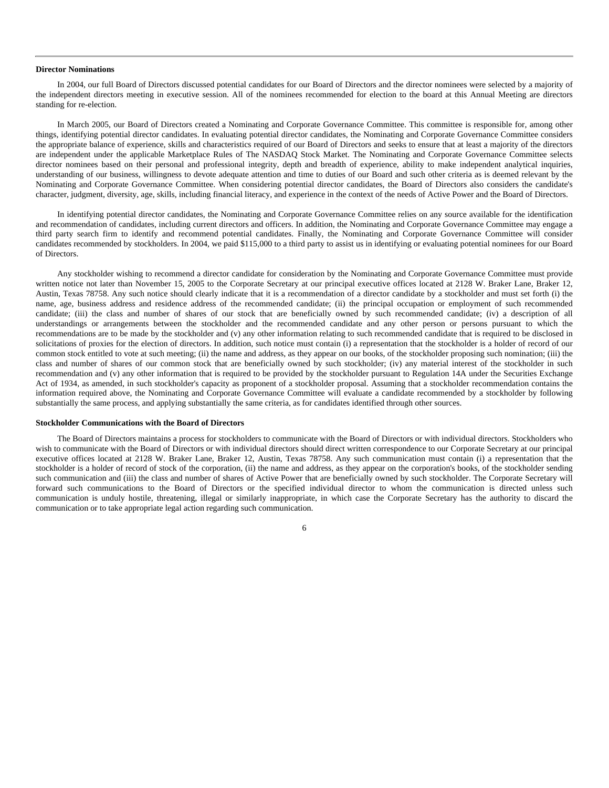#### **Director Nominations**

In 2004, our full Board of Directors discussed potential candidates for our Board of Directors and the director nominees were selected by a majority of the independent directors meeting in executive session. All of the nominees recommended for election to the board at this Annual Meeting are directors standing for re-election.

In March 2005, our Board of Directors created a Nominating and Corporate Governance Committee. This committee is responsible for, among other things, identifying potential director candidates. In evaluating potential director candidates, the Nominating and Corporate Governance Committee considers the appropriate balance of experience, skills and characteristics required of our Board of Directors and seeks to ensure that at least a majority of the directors are independent under the applicable Marketplace Rules of The NASDAQ Stock Market. The Nominating and Corporate Governance Committee selects director nominees based on their personal and professional integrity, depth and breadth of experience, ability to make independent analytical inquiries, understanding of our business, willingness to devote adequate attention and time to duties of our Board and such other criteria as is deemed relevant by the Nominating and Corporate Governance Committee. When considering potential director candidates, the Board of Directors also considers the candidate's character, judgment, diversity, age, skills, including financial literacy, and experience in the context of the needs of Active Power and the Board of Directors.

In identifying potential director candidates, the Nominating and Corporate Governance Committee relies on any source available for the identification and recommendation of candidates, including current directors and officers. In addition, the Nominating and Corporate Governance Committee may engage a third party search firm to identify and recommend potential candidates. Finally, the Nominating and Corporate Governance Committee will consider candidates recommended by stockholders. In 2004, we paid \$115,000 to a third party to assist us in identifying or evaluating potential nominees for our Board of Directors.

Any stockholder wishing to recommend a director candidate for consideration by the Nominating and Corporate Governance Committee must provide written notice not later than November 15, 2005 to the Corporate Secretary at our principal executive offices located at 2128 W. Braker Lane, Braker 12, Austin, Texas 78758. Any such notice should clearly indicate that it is a recommendation of a director candidate by a stockholder and must set forth (i) the name, age, business address and residence address of the recommended candidate; (ii) the principal occupation or employment of such recommended candidate; (iii) the class and number of shares of our stock that are beneficially owned by such recommended candidate; (iv) a description of all understandings or arrangements between the stockholder and the recommended candidate and any other person or persons pursuant to which the recommendations are to be made by the stockholder and (v) any other information relating to such recommended candidate that is required to be disclosed in solicitations of proxies for the election of directors. In addition, such notice must contain (i) a representation that the stockholder is a holder of record of our common stock entitled to vote at such meeting; (ii) the name and address, as they appear on our books, of the stockholder proposing such nomination; (iii) the class and number of shares of our common stock that are beneficially owned by such stockholder; (iv) any material interest of the stockholder in such recommendation and (v) any other information that is required to be provided by the stockholder pursuant to Regulation 14A under the Securities Exchange Act of 1934, as amended, in such stockholder's capacity as proponent of a stockholder proposal. Assuming that a stockholder recommendation contains the information required above, the Nominating and Corporate Governance Committee will evaluate a candidate recommended by a stockholder by following substantially the same process, and applying substantially the same criteria, as for candidates identified through other sources.

#### **Stockholder Communications with the Board of Directors**

The Board of Directors maintains a process for stockholders to communicate with the Board of Directors or with individual directors. Stockholders who wish to communicate with the Board of Directors or with individual directors should direct written correspondence to our Corporate Secretary at our principal executive offices located at 2128 W. Braker Lane, Braker 12, Austin, Texas 78758. Any such communication must contain (i) a representation that the stockholder is a holder of record of stock of the corporation, (ii) the name and address, as they appear on the corporation's books, of the stockholder sending such communication and (iii) the class and number of shares of Active Power that are beneficially owned by such stockholder. The Corporate Secretary will forward such communications to the Board of Directors or the specified individual director to whom the communication is directed unless such communication is unduly hostile, threatening, illegal or similarly inappropriate, in which case the Corporate Secretary has the authority to discard the communication or to take appropriate legal action regarding such communication.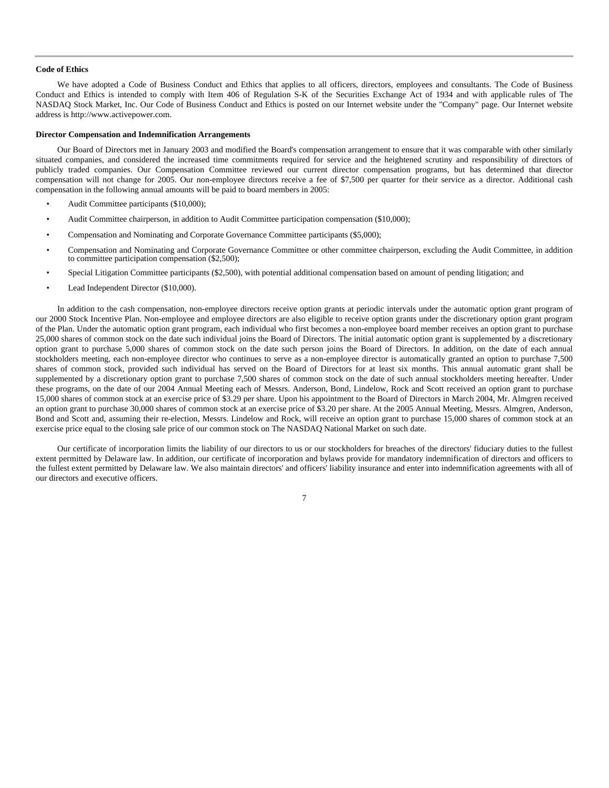#### **Code of Ethics**

We have adopted a Code of Business Conduct and Ethics that applies to all officers, directors, employees and consultants. The Code of Business Conduct and Ethics is intended to comply with Item 406 of Regulation S-K of the Securities Exchange Act of 1934 and with applicable rules of The NASDAQ Stock Market, Inc. Our Code of Business Conduct and Ethics is posted on our Internet website under the "Company" page. Our Internet website address is http://www.activepower.com.

#### **Director Compensation and Indemnification Arrangements**

Our Board of Directors met in January 2003 and modified the Board's compensation arrangement to ensure that it was comparable with other similarly situated companies, and considered the increased time commitments required for service and the heightened scrutiny and responsibility of directors of publicly traded companies. Our Compensation Committee reviewed our current director compensation programs, but has determined that director compensation will not change for 2005. Our non-employee directors receive a fee of \$7,500 per quarter for their service as a director. Additional cash compensation in the following annual amounts will be paid to board members in 2005:

- Audit Committee participants (\$10,000);
- Audit Committee chairperson, in addition to Audit Committee participation compensation (\$10,000);
- Compensation and Nominating and Corporate Governance Committee participants (\$5,000);
- Compensation and Nominating and Corporate Governance Committee or other committee chairperson, excluding the Audit Committee, in addition to committee participation compensation (\$2,500);
- Special Litigation Committee participants (\$2,500), with potential additional compensation based on amount of pending litigation; and
- Lead Independent Director (\$10,000).

In addition to the cash compensation, non-employee directors receive option grants at periodic intervals under the automatic option grant program of our 2000 Stock Incentive Plan. Non-employee and employee directors are also eligible to receive option grants under the discretionary option grant program of the Plan. Under the automatic option grant program, each individual who first becomes a non-employee board member receives an option grant to purchase 25,000 shares of common stock on the date such individual joins the Board of Directors. The initial automatic option grant is supplemented by a discretionary option grant to purchase 5,000 shares of common stock on the date such person joins the Board of Directors. In addition, on the date of each annual stockholders meeting, each non-employee director who continues to serve as a non-employee director is automatically granted an option to purchase 7,500 shares of common stock, provided such individual has served on the Board of Directors for at least six months. This annual automatic grant shall be supplemented by a discretionary option grant to purchase 7,500 shares of common stock on the date of such annual stockholders meeting hereafter. Under these programs, on the date of our 2004 Annual Meeting each of Messrs. Anderson, Bond, Lindelow, Rock and Scott received an option grant to purchase 15,000 shares of common stock at an exercise price of \$3.29 per share. Upon his appointment to the Board of Directors in March 2004, Mr. Almgren received an option grant to purchase 30,000 shares of common stock at an exercise price of \$3.20 per share. At the 2005 Annual Meeting, Messrs. Almgren, Anderson, Bond and Scott and, assuming their re-election, Messrs. Lindelow and Rock, will receive an option grant to purchase 15,000 shares of common stock at an exercise price equal to the closing sale price of our common stock on The NASDAQ National Market on such date.

Our certificate of incorporation limits the liability of our directors to us or our stockholders for breaches of the directors' fiduciary duties to the fullest extent permitted by Delaware law. In addition, our certificate of incorporation and bylaws provide for mandatory indemnification of directors and officers to the fullest extent permitted by Delaware law. We also maintain directors' and officers' liability insurance and enter into indemnification agreements with all of our directors and executive officers.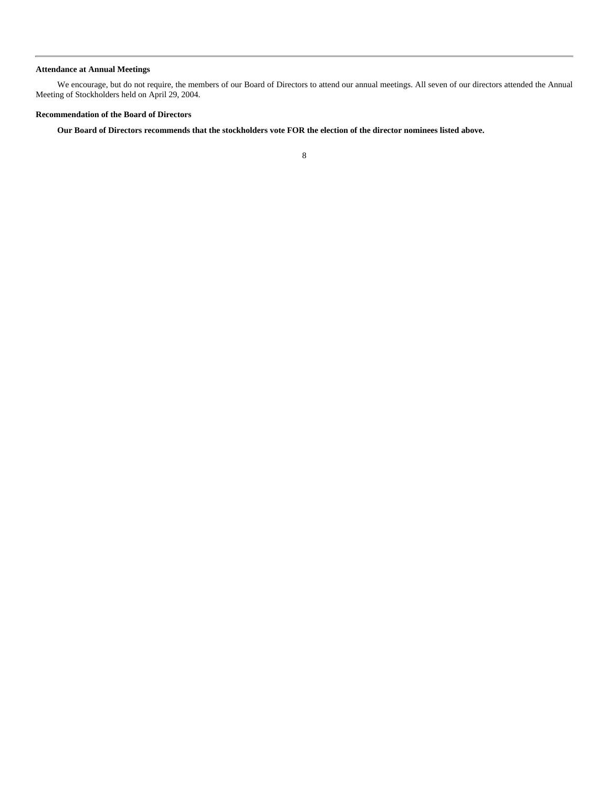# **Attendance at Annual Meetings**

We encourage, but do not require, the members of our Board of Directors to attend our annual meetings. All seven of our directors attended the Annual Meeting of Stockholders held on April 29, 2004.

# **Recommendation of the Board of Directors**

**Our Board of Directors recommends that the stockholders vote FOR the election of the director nominees listed above.**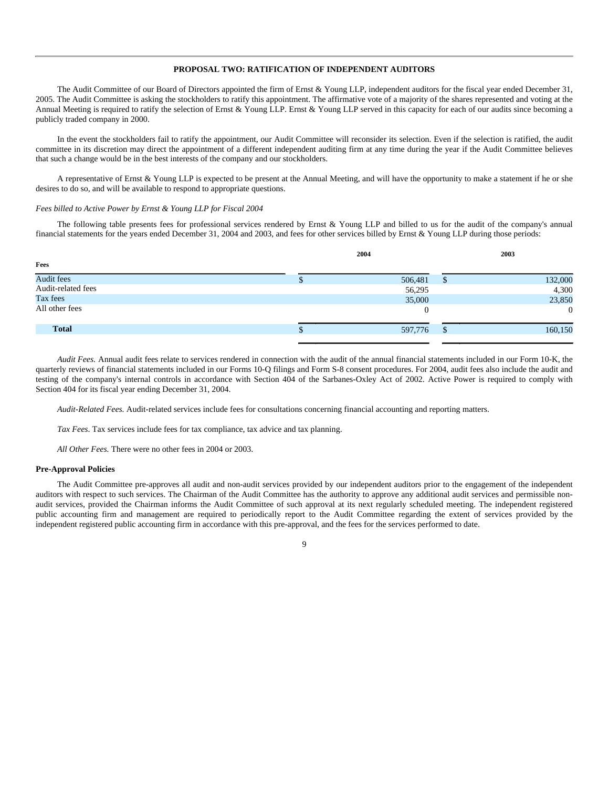# **PROPOSAL TWO: RATIFICATION OF INDEPENDENT AUDITORS**

The Audit Committee of our Board of Directors appointed the firm of Ernst & Young LLP, independent auditors for the fiscal year ended December 31, 2005. The Audit Committee is asking the stockholders to ratify this appointment. The affirmative vote of a majority of the shares represented and voting at the Annual Meeting is required to ratify the selection of Ernst & Young LLP. Ernst & Young LLP served in this capacity for each of our audits since becoming a publicly traded company in 2000.

In the event the stockholders fail to ratify the appointment, our Audit Committee will reconsider its selection. Even if the selection is ratified, the audit committee in its discretion may direct the appointment of a different independent auditing firm at any time during the year if the Audit Committee believes that such a change would be in the best interests of the company and our stockholders.

A representative of Ernst & Young LLP is expected to be present at the Annual Meeting, and will have the opportunity to make a statement if he or she desires to do so, and will be available to respond to appropriate questions.

#### *Fees billed to Active Power by Ernst & Young LLP for Fiscal 2004*

The following table presents fees for professional services rendered by Ernst & Young LLP and billed to us for the audit of the company's annual financial statements for the years ended December 31, 2004 and 2003, and fees for other services billed by Ernst & Young LLP during those periods:

|                    | 2004     |              | 2003     |
|--------------------|----------|--------------|----------|
| Fees               |          |              |          |
| Audit fees         | 506,481  | \$           | 132,000  |
| Audit-related fees | 56,295   |              | 4,300    |
| Tax fees           | 35,000   |              | 23,850   |
| All other fees     | $\theta$ |              | $\theta$ |
| <b>Total</b>       | 597,776  | $\mathbb{S}$ | 160,150  |
|                    |          |              |          |

*Audit Fees.* Annual audit fees relate to services rendered in connection with the audit of the annual financial statements included in our Form 10-K, the quarterly reviews of financial statements included in our Forms 10-Q filings and Form S-8 consent procedures. For 2004, audit fees also include the audit and testing of the company's internal controls in accordance with Section 404 of the Sarbanes-Oxley Act of 2002. Active Power is required to comply with Section 404 for its fiscal year ending December 31, 2004.

*Audit-Related Fees.* Audit-related services include fees for consultations concerning financial accounting and reporting matters.

*Tax Fees*. Tax services include fees for tax compliance, tax advice and tax planning.

*All Other Fees.* There were no other fees in 2004 or 2003.

## **Pre-Approval Policies**

The Audit Committee pre-approves all audit and non-audit services provided by our independent auditors prior to the engagement of the independent auditors with respect to such services. The Chairman of the Audit Committee has the authority to approve any additional audit services and permissible nonaudit services, provided the Chairman informs the Audit Committee of such approval at its next regularly scheduled meeting. The independent registered public accounting firm and management are required to periodically report to the Audit Committee regarding the extent of services provided by the independent registered public accounting firm in accordance with this pre-approval, and the fees for the services performed to date.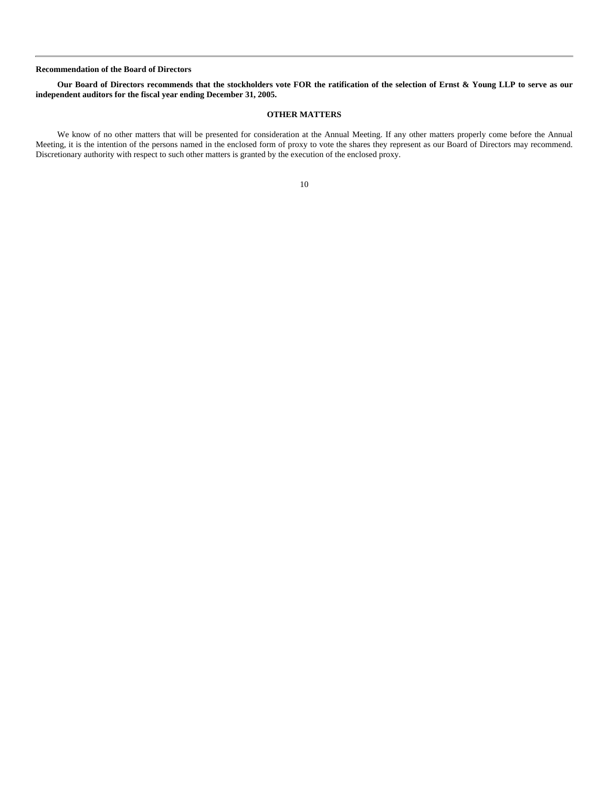## **Recommendation of the Board of Directors**

# **Our Board of Directors recommends that the stockholders vote FOR the ratification of the selection of Ernst & Young LLP to serve as our independent auditors for the fiscal year ending December 31, 2005.**

# **OTHER MATTERS**

We know of no other matters that will be presented for consideration at the Annual Meeting. If any other matters properly come before the Annual Meeting, it is the intention of the persons named in the enclosed form of proxy to vote the shares they represent as our Board of Directors may recommend. Discretionary authority with respect to such other matters is granted by the execution of the enclosed proxy.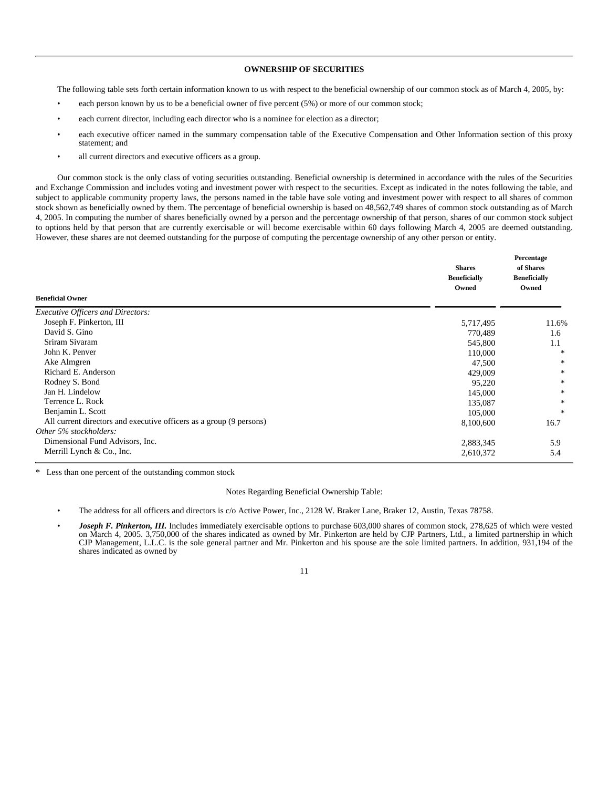# **OWNERSHIP OF SECURITIES**

The following table sets forth certain information known to us with respect to the beneficial ownership of our common stock as of March 4, 2005, by:

- each person known by us to be a beneficial owner of five percent (5%) or more of our common stock;
- each current director, including each director who is a nominee for election as a director;
- each executive officer named in the summary compensation table of the Executive Compensation and Other Information section of this proxy statement; and
- all current directors and executive officers as a group.

Our common stock is the only class of voting securities outstanding. Beneficial ownership is determined in accordance with the rules of the Securities and Exchange Commission and includes voting and investment power with respect to the securities. Except as indicated in the notes following the table, and subject to applicable community property laws, the persons named in the table have sole voting and investment power with respect to all shares of common stock shown as beneficially owned by them. The percentage of beneficial ownership is based on 48,562,749 shares of common stock outstanding as of March 4, 2005. In computing the number of shares beneficially owned by a person and the percentage ownership of that person, shares of our common stock subject to options held by that person that are currently exercisable or will become exercisable within 60 days following March 4, 2005 are deemed outstanding. However, these shares are not deemed outstanding for the purpose of computing the percentage ownership of any other person or entity.

| <b>Beneficial Owner</b>                                             | <b>Shares</b><br><b>Beneficially</b><br>Owned | Percentage<br>of Shares<br><b>Beneficially</b><br>Owned |
|---------------------------------------------------------------------|-----------------------------------------------|---------------------------------------------------------|
| Executive Officers and Directors:                                   |                                               |                                                         |
| Joseph F. Pinkerton, III                                            | 5,717,495                                     | 11.6%                                                   |
| David S. Gino                                                       | 770,489                                       | 1.6                                                     |
| Sriram Sivaram                                                      | 545,800                                       | 1.1                                                     |
| John K. Penver                                                      | 110,000                                       | $\ast$                                                  |
| Ake Almgren                                                         | 47,500                                        | $\ast$                                                  |
| Richard E. Anderson                                                 | 429,009                                       | $\ast$                                                  |
| Rodney S. Bond                                                      | 95,220                                        | ∗                                                       |
| Jan H. Lindelow                                                     | 145,000                                       | $\ast$                                                  |
| Terrence L. Rock                                                    | 135,087                                       | *                                                       |
| Benjamin L. Scott                                                   | 105,000                                       | $\ast$                                                  |
| All current directors and executive officers as a group (9 persons) | 8,100,600                                     | 16.7                                                    |
| Other 5% stockholders:                                              |                                               |                                                         |
| Dimensional Fund Advisors, Inc.                                     | 2,883,345                                     | 5.9                                                     |
| Merrill Lynch & Co., Inc.                                           | 2,610,372                                     | 5.4                                                     |
|                                                                     |                                               |                                                         |

Less than one percent of the outstanding common stock

Notes Regarding Beneficial Ownership Table:

- The address for all officers and directors is c/o Active Power, Inc., 2128 W. Braker Lane, Braker 12, Austin, Texas 78758.
- *Joseph F. Pinkerton, III.* Includes immediately exercisable options to purchase 603,000 shares of common stock, 278,625 of which were vested on March 4, 2005. 3,750,000 of the shares indicated as owned by Mr. Pinkerton are held by CJP Partners, Ltd., a limited partnership in which CJP Management, L.L.C. is the sole general partner and Mr. Pinkerton and his spouse are the sole limited partners. In addition, 931,194 of the shares indicated as owned by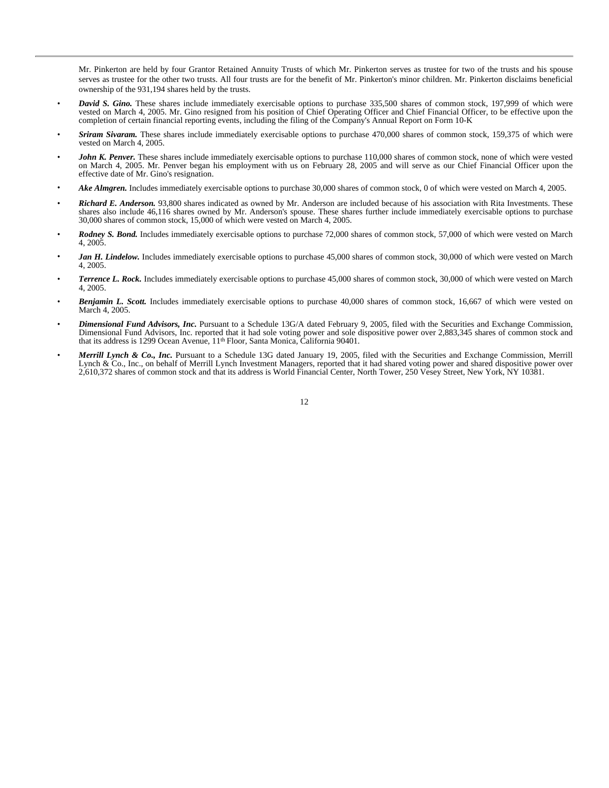Mr. Pinkerton are held by four Grantor Retained Annuity Trusts of which Mr. Pinkerton serves as trustee for two of the trusts and his spouse serves as trustee for the other two trusts. All four trusts are for the benefit of Mr. Pinkerton's minor children. Mr. Pinkerton disclaims beneficial ownership of the 931,194 shares held by the trusts.

- *David S. Gino.* These shares include immediately exercisable options to purchase 335,500 shares of common stock, 197,999 of which were vested on March 4, 2005. Mr. Gino resigned from his position of Chief Operating Officer and Chief Financial Officer, to be effective upon the completion of certain financial reporting events, including the filing of the Company's Annual Report on Form 10-K
- *Sriram Sivaram.* These shares include immediately exercisable options to purchase 470,000 shares of common stock, 159,375 of which were vested on March 4, 2005.
- *John K. Penver.* These shares include immediately exercisable options to purchase 110,000 shares of common stock, none of which were vested on March 4, 2005. Mr. Penver began his employment with us on February 28, 2005 and will serve as our Chief Financial Officer upon the effective date of Mr. Gino's resignation.
- *Ake Almgren.* Includes immediately exercisable options to purchase 30,000 shares of common stock, 0 of which were vested on March 4, 2005.
- *Richard E. Anderson.* 93,800 shares indicated as owned by Mr. Anderson are included because of his association with Rita Investments. These shares also include 46,116 shares owned by Mr. Anderson's spouse. These shares further include immediately exercisable options to purchase 30,000 shares of common stock, 15,000 of which were vested on March 4, 2005.
- *Rodney S. Bond.* Includes immediately exercisable options to purchase 72,000 shares of common stock, 57,000 of which were vested on March 4, 2005.
- Jan H. Lindelow. Includes immediately exercisable options to purchase 45,000 shares of common stock, 30,000 of which were vested on March 4, 2005.
- *Terrence L. Rock.* Includes immediately exercisable options to purchase 45,000 shares of common stock, 30,000 of which were vested on March 4, 2005.
- *Benjamin L. Scott.* Includes immediately exercisable options to purchase 40,000 shares of common stock, 16,667 of which were vested on March 4, 2005.
- *Dimensional Fund Advisors, Inc.* Pursuant to a Schedule 13G/A dated February 9, 2005, filed with the Securities and Exchange Commission, Dimensional Fund Advisors, Inc. reported that it had sole voting power and sole dispositive power over 2,883,345 shares of common stock and that its address is 1299 Ocean Avenue, 11th Floor, Santa Monica, California 90401.
- *Merrill Lynch & Co., Inc.* Pursuant to a Schedule 13G dated January 19, 2005, filed with the Securities and Exchange Commission, Merrill Lynch & Co., Inc., on behalf of Merrill Lynch Investment Managers, reported that it had shared voting power and shared dispositive power over 2,610,372 shares of common stock and that its address is World Financial Center, North Tower, 250 Vesey Street, New York, NY 10381.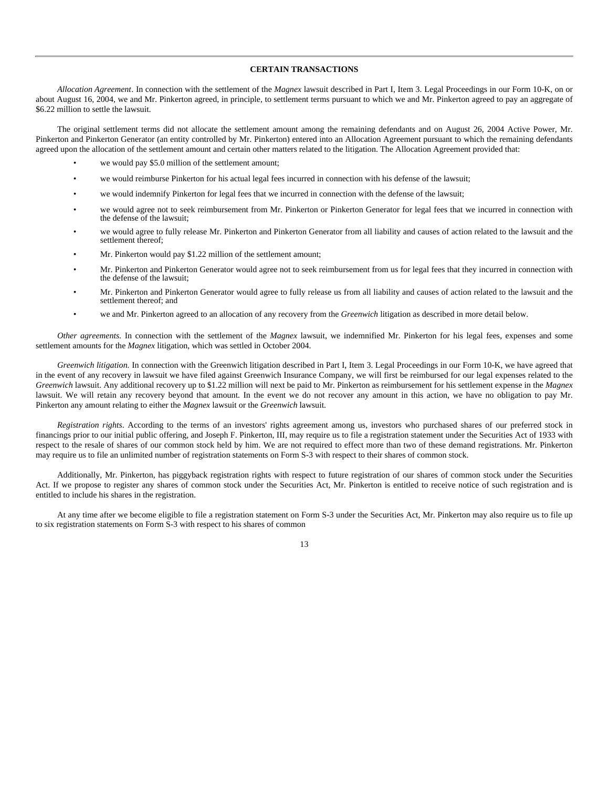# **CERTAIN TRANSACTIONS**

*Allocation Agreement*. In connection with the settlement of the *Magnex* lawsuit described in Part I, Item 3. Legal Proceedings in our Form 10-K, on or about August 16, 2004, we and Mr. Pinkerton agreed, in principle, to settlement terms pursuant to which we and Mr. Pinkerton agreed to pay an aggregate of \$6.22 million to settle the lawsuit.

The original settlement terms did not allocate the settlement amount among the remaining defendants and on August 26, 2004 Active Power, Mr. Pinkerton and Pinkerton Generator (an entity controlled by Mr. Pinkerton) entered into an Allocation Agreement pursuant to which the remaining defendants agreed upon the allocation of the settlement amount and certain other matters related to the litigation. The Allocation Agreement provided that:

- we would pay \$5.0 million of the settlement amount;
- we would reimburse Pinkerton for his actual legal fees incurred in connection with his defense of the lawsuit;
- we would indemnify Pinkerton for legal fees that we incurred in connection with the defense of the lawsuit;
- we would agree not to seek reimbursement from Mr. Pinkerton or Pinkerton Generator for legal fees that we incurred in connection with the defense of the lawsuit;
- we would agree to fully release Mr. Pinkerton and Pinkerton Generator from all liability and causes of action related to the lawsuit and the settlement thereof;
- Mr. Pinkerton would pay \$1.22 million of the settlement amount;
- Mr. Pinkerton and Pinkerton Generator would agree not to seek reimbursement from us for legal fees that they incurred in connection with the defense of the lawsuit;
- Mr. Pinkerton and Pinkerton Generator would agree to fully release us from all liability and causes of action related to the lawsuit and the settlement thereof; and
- we and Mr. Pinkerton agreed to an allocation of any recovery from the *Greenwich* litigation as described in more detail below.

*Other agreements.* In connection with the settlement of the *Magnex* lawsuit, we indemnified Mr. Pinkerton for his legal fees, expenses and some settlement amounts for the *Magnex* litigation, which was settled in October 2004.

*Greenwich litigation.* In connection with the Greenwich litigation described in Part I, Item 3. Legal Proceedings in our Form 10-K, we have agreed that in the event of any recovery in lawsuit we have filed against Greenwich Insurance Company, we will first be reimbursed for our legal expenses related to the *Greenwich* lawsuit. Any additional recovery up to \$1.22 million will next be paid to Mr. Pinkerton as reimbursement for his settlement expense in the *Magnex* lawsuit. We will retain any recovery beyond that amount. In the event we do not recover any amount in this action, we have no obligation to pay Mr. Pinkerton any amount relating to either the *Magnex* lawsuit or the *Greenwich* lawsuit.

*Registration rights*. According to the terms of an investors' rights agreement among us, investors who purchased shares of our preferred stock in financings prior to our initial public offering, and Joseph F. Pinkerton, III, may require us to file a registration statement under the Securities Act of 1933 with respect to the resale of shares of our common stock held by him. We are not required to effect more than two of these demand registrations. Mr. Pinkerton may require us to file an unlimited number of registration statements on Form S-3 with respect to their shares of common stock.

Additionally, Mr. Pinkerton, has piggyback registration rights with respect to future registration of our shares of common stock under the Securities Act. If we propose to register any shares of common stock under the Securities Act, Mr. Pinkerton is entitled to receive notice of such registration and is entitled to include his shares in the registration.

At any time after we become eligible to file a registration statement on Form S-3 under the Securities Act, Mr. Pinkerton may also require us to file up to six registration statements on Form S-3 with respect to his shares of common

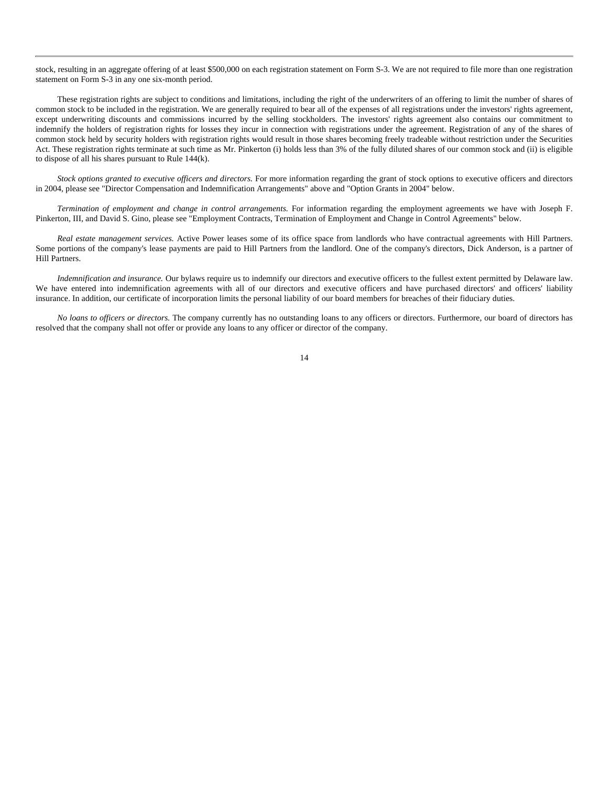stock, resulting in an aggregate offering of at least \$500,000 on each registration statement on Form S-3. We are not required to file more than one registration statement on Form S-3 in any one six-month period.

These registration rights are subject to conditions and limitations, including the right of the underwriters of an offering to limit the number of shares of common stock to be included in the registration. We are generally required to bear all of the expenses of all registrations under the investors' rights agreement, except underwriting discounts and commissions incurred by the selling stockholders. The investors' rights agreement also contains our commitment to indemnify the holders of registration rights for losses they incur in connection with registrations under the agreement. Registration of any of the shares of common stock held by security holders with registration rights would result in those shares becoming freely tradeable without restriction under the Securities Act. These registration rights terminate at such time as Mr. Pinkerton (i) holds less than 3% of the fully diluted shares of our common stock and (ii) is eligible to dispose of all his shares pursuant to Rule 144(k).

*Stock options granted to executive officers and directors.* For more information regarding the grant of stock options to executive officers and directors in 2004, please see "Director Compensation and Indemnification Arrangements" above and "Option Grants in 2004" below.

*Termination of employment and change in control arrangements.* For information regarding the employment agreements we have with Joseph F. Pinkerton, III, and David S. Gino, please see "Employment Contracts, Termination of Employment and Change in Control Agreements" below.

*Real estate management services.* Active Power leases some of its office space from landlords who have contractual agreements with Hill Partners. Some portions of the company's lease payments are paid to Hill Partners from the landlord. One of the company's directors, Dick Anderson, is a partner of Hill Partners.

*Indemnification and insurance.* Our bylaws require us to indemnify our directors and executive officers to the fullest extent permitted by Delaware law. We have entered into indemnification agreements with all of our directors and executive officers and have purchased directors' and officers' liability insurance. In addition, our certificate of incorporation limits the personal liability of our board members for breaches of their fiduciary duties.

*No loans to officers or directors.* The company currently has no outstanding loans to any officers or directors. Furthermore, our board of directors has resolved that the company shall not offer or provide any loans to any officer or director of the company.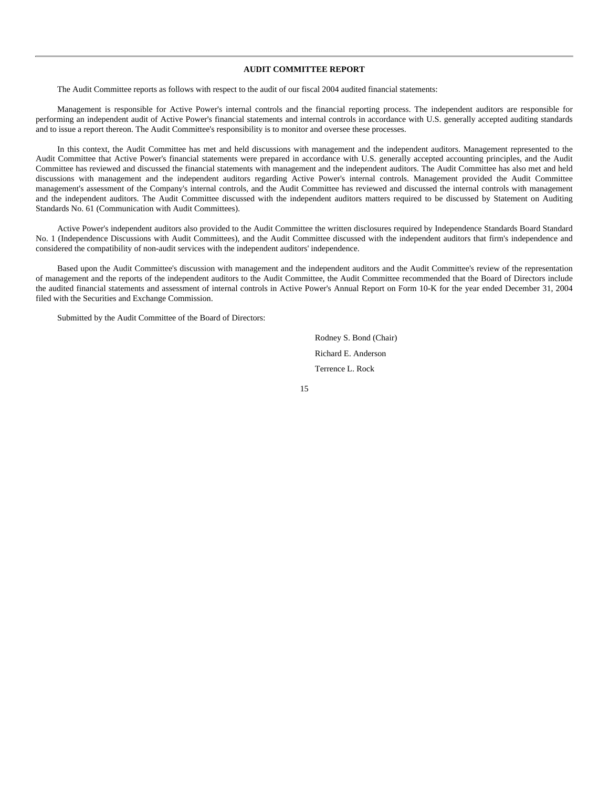# **AUDIT COMMITTEE REPORT**

The Audit Committee reports as follows with respect to the audit of our fiscal 2004 audited financial statements:

Management is responsible for Active Power's internal controls and the financial reporting process. The independent auditors are responsible for performing an independent audit of Active Power's financial statements and internal controls in accordance with U.S. generally accepted auditing standards and to issue a report thereon. The Audit Committee's responsibility is to monitor and oversee these processes.

In this context, the Audit Committee has met and held discussions with management and the independent auditors. Management represented to the Audit Committee that Active Power's financial statements were prepared in accordance with U.S. generally accepted accounting principles, and the Audit Committee has reviewed and discussed the financial statements with management and the independent auditors. The Audit Committee has also met and held discussions with management and the independent auditors regarding Active Power's internal controls. Management provided the Audit Committee management's assessment of the Company's internal controls, and the Audit Committee has reviewed and discussed the internal controls with management and the independent auditors. The Audit Committee discussed with the independent auditors matters required to be discussed by Statement on Auditing Standards No. 61 (Communication with Audit Committees).

Active Power's independent auditors also provided to the Audit Committee the written disclosures required by Independence Standards Board Standard No. 1 (Independence Discussions with Audit Committees), and the Audit Committee discussed with the independent auditors that firm's independence and considered the compatibility of non-audit services with the independent auditors' independence.

Based upon the Audit Committee's discussion with management and the independent auditors and the Audit Committee's review of the representation of management and the reports of the independent auditors to the Audit Committee, the Audit Committee recommended that the Board of Directors include the audited financial statements and assessment of internal controls in Active Power's Annual Report on Form 10-K for the year ended December 31, 2004 filed with the Securities and Exchange Commission.

Submitted by the Audit Committee of the Board of Directors:

Rodney S. Bond (Chair) Richard E. Anderson Terrence L. Rock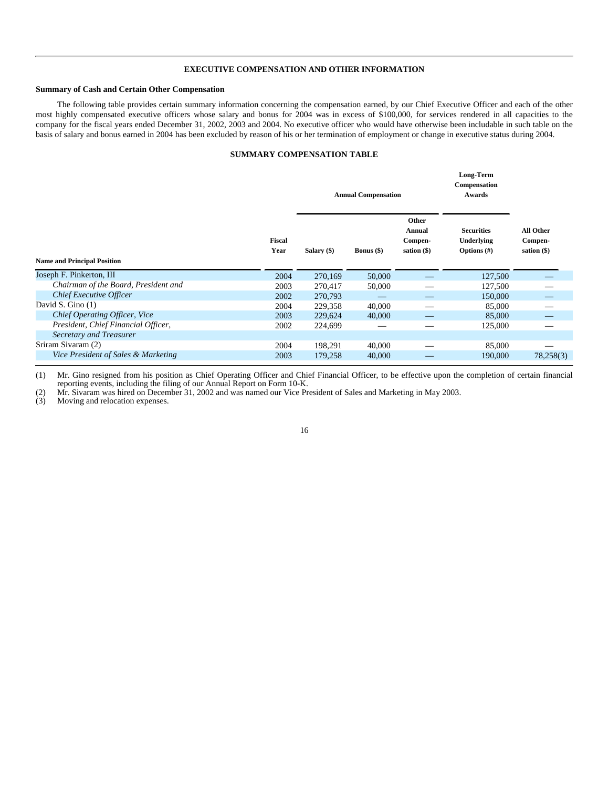# **EXECUTIVE COMPENSATION AND OTHER INFORMATION**

#### **Summary of Cash and Certain Other Compensation**

The following table provides certain summary information concerning the compensation earned, by our Chief Executive Officer and each of the other most highly compensated executive officers whose salary and bonus for 2004 was in excess of \$100,000, for services rendered in all capacities to the company for the fiscal years ended December 31, 2002, 2003 and 2004. No executive officer who would have otherwise been includable in such table on the basis of salary and bonus earned in 2004 has been excluded by reason of his or her termination of employment or change in executive status during 2004.

# **SUMMARY COMPENSATION TABLE**

|                                      |                |             | <b>Annual Compensation</b> |                                             | Long-Term<br>Compensation<br>Awards               |                                       |  |
|--------------------------------------|----------------|-------------|----------------------------|---------------------------------------------|---------------------------------------------------|---------------------------------------|--|
|                                      | Fiscal<br>Year | Salary (\$) | <b>Bonus</b> $(\$)$        | Other<br>Annual<br>Compen-<br>sation $(\$)$ | <b>Securities</b><br>Underlying<br>Options $(\#)$ | All Other<br>Compen-<br>sation $(\$)$ |  |
| <b>Name and Principal Position</b>   |                |             |                            |                                             |                                                   |                                       |  |
| Joseph F. Pinkerton, III             | 2004           | 270,169     | 50,000                     |                                             | 127,500                                           |                                       |  |
| Chairman of the Board, President and | 2003           | 270,417     | 50,000                     |                                             | 127,500                                           |                                       |  |
| Chief Executive Officer              | 2002           | 270,793     |                            |                                             | 150,000                                           |                                       |  |
| David S. Gino $(1)$                  | 2004           | 229,358     | 40,000                     |                                             | 85,000                                            |                                       |  |
| Chief Operating Officer, Vice        | 2003           | 229,624     | 40,000                     |                                             | 85,000                                            |                                       |  |
| President, Chief Financial Officer,  | 2002           | 224,699     |                            |                                             | 125,000                                           |                                       |  |
| Secretary and Treasurer              |                |             |                            |                                             |                                                   |                                       |  |
| Sriram Sivaram (2)                   | 2004           | 198,291     | 40,000                     |                                             | 85,000                                            |                                       |  |
| Vice President of Sales & Marketing  | 2003           | 179,258     | 40,000                     |                                             | 190,000                                           | 78,258(3)                             |  |

(1) Mr. Gino resigned from his position as Chief Operating Officer and Chief Financial Officer, to be effective upon the completion of certain financial reporting events, including the filing of our Annual Report on Form 10-K.

(2) Mr. Sivaram was hired on December 31, 2002 and was named our Vice President of Sales and Marketing in May 2003.

(3) Moving and relocation expenses.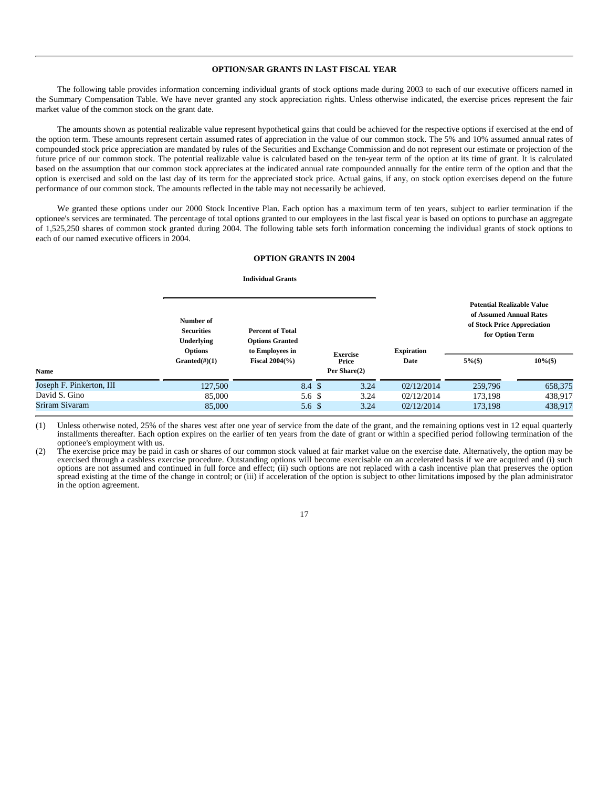# **OPTION/SAR GRANTS IN LAST FISCAL YEAR**

The following table provides information concerning individual grants of stock options made during 2003 to each of our executive officers named in the Summary Compensation Table. We have never granted any stock appreciation rights. Unless otherwise indicated, the exercise prices represent the fair market value of the common stock on the grant date.

The amounts shown as potential realizable value represent hypothetical gains that could be achieved for the respective options if exercised at the end of the option term. These amounts represent certain assumed rates of appreciation in the value of our common stock. The 5% and 10% assumed annual rates of compounded stock price appreciation are mandated by rules of the Securities and Exchange Commission and do not represent our estimate or projection of the future price of our common stock. The potential realizable value is calculated based on the ten-year term of the option at its time of grant. It is calculated based on the assumption that our common stock appreciates at the indicated annual rate compounded annually for the entire term of the option and that the option is exercised and sold on the last day of its term for the appreciated stock price. Actual gains, if any, on stock option exercises depend on the future performance of our common stock. The amounts reflected in the table may not necessarily be achieved.

We granted these options under our 2000 Stock Incentive Plan. Each option has a maximum term of ten years, subject to earlier termination if the optionee's services are terminated. The percentage of total options granted to our employees in the last fiscal year is based on options to purchase an aggregate of 1,525,250 shares of common stock granted during 2004. The following table sets forth information concerning the individual grants of stock options to each of our named executive officers in 2004.

## **OPTION GRANTS IN 2004**

#### **Individual Grants**

**Name**

|                          | Number of<br><b>Securities</b><br>Underlying<br><b>Options</b> | <b>Percent of Total</b><br><b>Options Granted</b><br>to Employees in |                          |      | <b>Expiration</b> | <b>Potential Realizable Value</b><br>of Assumed Annual Rates<br>of Stock Price Appreciation<br>for Option Term |             |
|--------------------------|----------------------------------------------------------------|----------------------------------------------------------------------|--------------------------|------|-------------------|----------------------------------------------------------------------------------------------------------------|-------------|
|                          | $Grand(\#)(1)$                                                 | <b>Fiscal 2004(%)</b>                                                | <b>Exercise</b><br>Price |      | Date              | $5\%$ (\$)                                                                                                     | $10\%$ (\$) |
| <b>Name</b>              |                                                                |                                                                      | Per Share(2)             |      |                   |                                                                                                                |             |
| Joseph F. Pinkerton, III | 127,500                                                        | 8.4 \$                                                               |                          | 3.24 | 02/12/2014        | 259,796                                                                                                        | 658,375     |
| David S. Gino            | 85,000                                                         | 5.6 \$                                                               |                          | 3.24 | 02/12/2014        | 173.198                                                                                                        | 438,917     |
| Sriram Sivaram           | 85,000                                                         | 5.6 <sup>3</sup>                                                     |                          | 3.24 | 02/12/2014        | 173,198                                                                                                        | 438,917     |
|                          |                                                                |                                                                      |                          |      |                   |                                                                                                                |             |

(1) Unless otherwise noted, 25% of the shares vest after one year of service from the date of the grant, and the remaining options vest in 12 equal quarterly installments thereafter. Each option expires on the earlier of ten years from the date of grant or within a specified period following termination of the optionee's employment with us.

(2) The exercise price may be paid in cash or shares of our common stock valued at fair market value on the exercise date. Alternatively, the option may be exercised through a cashless exercise procedure. Outstanding options will become exercisable on an accelerated basis if we are acquired and (i) such options are not assumed and continued in full force and effect; (ii) such options are not replaced with a cash incentive plan that preserves the option spread existing at the time of the change in control; or (iii) if acceleration of the option is subject to other limitations imposed by the plan administrator in the option agreement.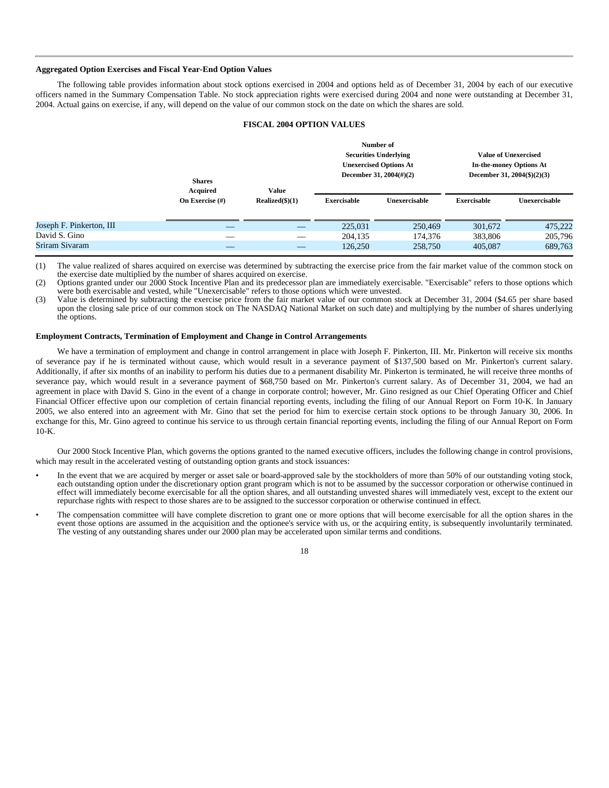## **Aggregated Option Exercises and Fiscal Year-End Option Values**

The following table provides information about stock options exercised in 2004 and options held as of December 31, 2004 by each of our executive officers named in the Summary Compensation Table. No stock appreciation rights were exercised during 2004 and none were outstanding at December 31, 2004. Actual gains on exercise, if any, will depend on the value of our common stock on the date on which the shares are sold.

# **FISCAL 2004 OPTION VALUES**

|                          | <b>Shares</b><br>Acquired | Value             |                    | Number of<br><b>Securities Underlying</b><br><b>Unexercised Options At</b><br>December 31, $2004(\text{\#})(2)$ | <b>Value of Unexercised</b><br>In-the-money Options At<br>December 31, $2004(\text{\$})(2)(3)$ |               |
|--------------------------|---------------------------|-------------------|--------------------|-----------------------------------------------------------------------------------------------------------------|------------------------------------------------------------------------------------------------|---------------|
|                          | On Exercise $(\#)$        | $Realized(\$)(1)$ | <b>Exercisable</b> | Unexercisable                                                                                                   | <b>Exercisable</b>                                                                             | Unexercisable |
| Joseph F. Pinkerton, III |                           |                   | 225,031            | 250,469                                                                                                         | 301,672                                                                                        | 475,222       |
| David S. Gino            |                           |                   | 204,135            | 174,376                                                                                                         | 383,806                                                                                        | 205,796       |
| Sriram Sivaram           |                           |                   | 126,250            | 258,750                                                                                                         | 405,087                                                                                        | 689,763       |
|                          |                           |                   |                    |                                                                                                                 |                                                                                                |               |

(1) The value realized of shares acquired on exercise was determined by subtracting the exercise price from the fair market value of the common stock on the exercise date multiplied by the number of shares acquired on exercise.

(2) Options granted under our 2000 Stock Incentive Plan and its predecessor plan are immediately exercisable. "Exercisable" refers to those options which were both exercisable and vested, while "Unexercisable" refers to those options which were unvested.

(3) Value is determined by subtracting the exercise price from the fair market value of our common stock at December 31, 2004 (\$4.65 per share based upon the closing sale price of our common stock on The NASDAQ National Market on such date) and multiplying by the number of shares underlying the options.

### **Employment Contracts, Termination of Employment and Change in Control Arrangements**

We have a termination of employment and change in control arrangement in place with Joseph F. Pinkerton, III. Mr. Pinkerton will receive six months of severance pay if he is terminated without cause, which would result in a severance payment of \$137,500 based on Mr. Pinkerton's current salary. Additionally, if after six months of an inability to perform his duties due to a permanent disability Mr. Pinkerton is terminated, he will receive three months of severance pay, which would result in a severance payment of \$68,750 based on Mr. Pinkerton's current salary. As of December 31, 2004, we had an agreement in place with David S. Gino in the event of a change in corporate control; however, Mr. Gino resigned as our Chief Operating Officer and Chief Financial Officer effective upon our completion of certain financial reporting events, including the filing of our Annual Report on Form 10-K. In January 2005, we also entered into an agreement with Mr. Gino that set the period for him to exercise certain stock options to be through January 30, 2006. In exchange for this, Mr. Gino agreed to continue his service to us through certain financial reporting events, including the filing of our Annual Report on Form  $10-K$ .

Our 2000 Stock Incentive Plan, which governs the options granted to the named executive officers, includes the following change in control provisions, which may result in the accelerated vesting of outstanding option grants and stock issuances:

- In the event that we are acquired by merger or asset sale or board-approved sale by the stockholders of more than 50% of our outstanding voting stock, each outstanding option under the discretionary option grant program which is not to be assumed by the successor corporation or otherwise continued in effect will immediately become exercisable for all the option shares, and all outstanding unvested shares will immediately vest, except to the extent our repurchase rights with respect to those shares are to be assigned to the successor corporation or otherwise continued in effect.
- The compensation committee will have complete discretion to grant one or more options that will become exercisable for all the option shares in the event those options are assumed in the acquisition and the optionee's service with us, or the acquiring entity, is subsequently involuntarily terminated. The vesting of any outstanding shares under our 2000 plan may be accelerated upon similar terms and conditions.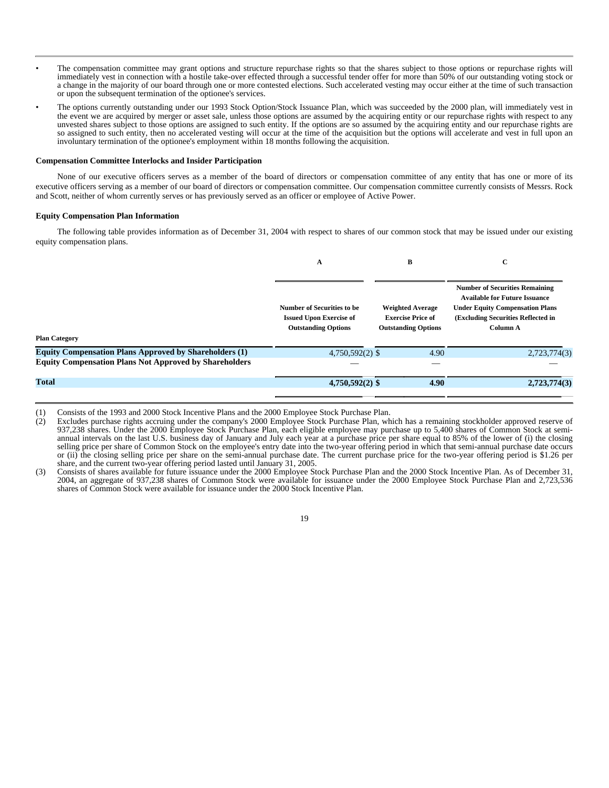- The compensation committee may grant options and structure repurchase rights so that the shares subject to those options or repurchase rights will immediately vest in connection with a hostile take-over effected through a successful tender offer for more than 50% of our outstanding voting stock or a change in the majority of our board through one or more contested elections. Such accelerated vesting may occur either at the time of such transaction or upon the subsequent termination of the optionee's services.
- The options currently outstanding under our 1993 Stock Option/Stock Issuance Plan, which was succeeded by the 2000 plan, will immediately vest in the event we are acquired by merger or asset sale, unless those options are assumed by the acquiring entity or our repurchase rights with respect to any unvested shares subject to those options are assigned to such entity. If the options are so assumed by the acquiring entity and our repurchase rights are so assigned to such entity, then no accelerated vesting will occur at the time of the acquisition but the options will accelerate and vest in full upon an involuntary termination of the optionee's employment within 18 months following the acquisition.

#### **Compensation Committee Interlocks and Insider Participation**

None of our executive officers serves as a member of the board of directors or compensation committee of any entity that has one or more of its executive officers serving as a member of our board of directors or compensation committee. Our compensation committee currently consists of Messrs. Rock and Scott, neither of whom currently serves or has previously served as an officer or employee of Active Power.

#### **Equity Compensation Plan Information**

The following table provides information as of December 31, 2004 with respect to shares of our common stock that may be issued under our existing equity compensation plans.

|                                                               | A                                                                                                 | В                                                                                 | C                                                                                                                                                                         |  |
|---------------------------------------------------------------|---------------------------------------------------------------------------------------------------|-----------------------------------------------------------------------------------|---------------------------------------------------------------------------------------------------------------------------------------------------------------------------|--|
|                                                               | <b>Number of Securities to be</b><br><b>Issued Upon Exercise of</b><br><b>Outstanding Options</b> | <b>Weighted Average</b><br><b>Exercise Price of</b><br><b>Outstanding Options</b> | <b>Number of Securities Remaining</b><br><b>Available for Future Issuance</b><br><b>Under Equity Compensation Plans</b><br>(Excluding Securities Reflected in<br>Column A |  |
| <b>Plan Category</b>                                          |                                                                                                   |                                                                                   |                                                                                                                                                                           |  |
| <b>Equity Compensation Plans Approved by Shareholders (1)</b> | $4,750,592(2)$ \$                                                                                 | 4.90                                                                              | 2,723,774(3)                                                                                                                                                              |  |
| <b>Equity Compensation Plans Not Approved by Shareholders</b> |                                                                                                   |                                                                                   |                                                                                                                                                                           |  |
|                                                               |                                                                                                   |                                                                                   |                                                                                                                                                                           |  |
| <b>Total</b>                                                  | $4,750,592(2)$ \$                                                                                 | 4.90                                                                              | 2,723,774(3)                                                                                                                                                              |  |
|                                                               |                                                                                                   |                                                                                   |                                                                                                                                                                           |  |

(1) Consists of the 1993 and 2000 Stock Incentive Plans and the 2000 Employee Stock Purchase Plan.

<sup>(2)</sup> Excludes purchase rights accruing under the company's 2000 Employee Stock Purchase Plan, which has a remaining stockholder approved reserve of 937,238 shares. Under the 2000 Employee Stock Purchase Plan, each eligible employee may purchase up to 5,400 shares of Common Stock at semiannual intervals on the last U.S. business day of January and July each year at a purchase price per share equal to 85% of the lower of (i) the closing selling price per share of Common Stock on the employee's entry date into the two-year offering period in which that semi-annual purchase date occurs or (ii) the closing selling price per share on the semi-annual purchase date. The current purchase price for the two-year offering period is \$1.26 per share, and the current two-year offering period lasted until January 31, 2005.

<sup>(3)</sup> Consists of shares available for future issuance under the 2000 Employee Stock Purchase Plan and the 2000 Stock Incentive Plan. As of December 31, 2004, an aggregate of 937,238 shares of Common Stock were available for issuance under the 2000 Employee Stock Purchase Plan and 2,723,536 shares of Common Stock were available for issuance under the 2000 Stock Incentive Plan.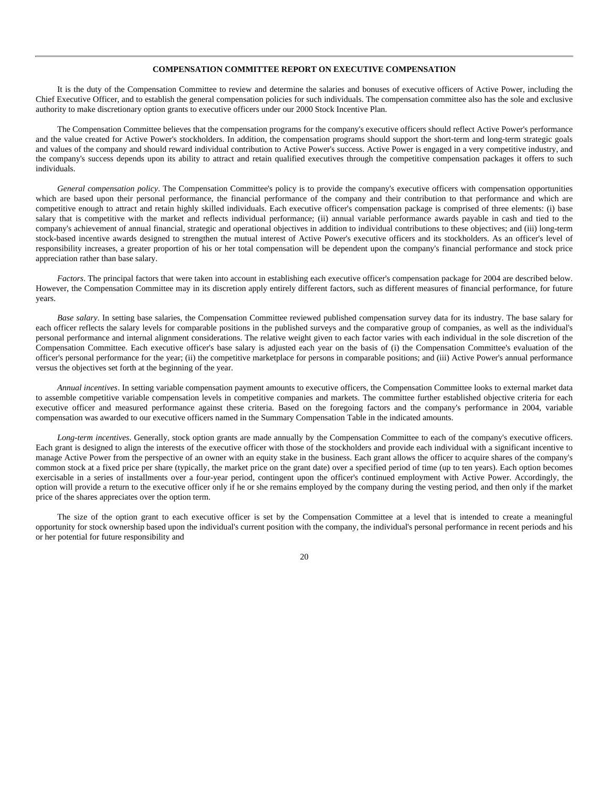# **COMPENSATION COMMITTEE REPORT ON EXECUTIVE COMPENSATION**

It is the duty of the Compensation Committee to review and determine the salaries and bonuses of executive officers of Active Power, including the Chief Executive Officer, and to establish the general compensation policies for such individuals. The compensation committee also has the sole and exclusive authority to make discretionary option grants to executive officers under our 2000 Stock Incentive Plan.

The Compensation Committee believes that the compensation programs for the company's executive officers should reflect Active Power's performance and the value created for Active Power's stockholders. In addition, the compensation programs should support the short-term and long-term strategic goals and values of the company and should reward individual contribution to Active Power's success. Active Power is engaged in a very competitive industry, and the company's success depends upon its ability to attract and retain qualified executives through the competitive compensation packages it offers to such individuals.

*General compensation policy*. The Compensation Committee's policy is to provide the company's executive officers with compensation opportunities which are based upon their personal performance, the financial performance of the company and their contribution to that performance and which are competitive enough to attract and retain highly skilled individuals. Each executive officer's compensation package is comprised of three elements: (i) base salary that is competitive with the market and reflects individual performance; (ii) annual variable performance awards payable in cash and tied to the company's achievement of annual financial, strategic and operational objectives in addition to individual contributions to these objectives; and (iii) long-term stock-based incentive awards designed to strengthen the mutual interest of Active Power's executive officers and its stockholders. As an officer's level of responsibility increases, a greater proportion of his or her total compensation will be dependent upon the company's financial performance and stock price appreciation rather than base salary.

*Factors*. The principal factors that were taken into account in establishing each executive officer's compensation package for 2004 are described below. However, the Compensation Committee may in its discretion apply entirely different factors, such as different measures of financial performance, for future years.

*Base salary*. In setting base salaries, the Compensation Committee reviewed published compensation survey data for its industry. The base salary for each officer reflects the salary levels for comparable positions in the published surveys and the comparative group of companies, as well as the individual's personal performance and internal alignment considerations. The relative weight given to each factor varies with each individual in the sole discretion of the Compensation Committee. Each executive officer's base salary is adjusted each year on the basis of (i) the Compensation Committee's evaluation of the officer's personal performance for the year; (ii) the competitive marketplace for persons in comparable positions; and (iii) Active Power's annual performance versus the objectives set forth at the beginning of the year.

*Annual incentives*. In setting variable compensation payment amounts to executive officers, the Compensation Committee looks to external market data to assemble competitive variable compensation levels in competitive companies and markets. The committee further established objective criteria for each executive officer and measured performance against these criteria. Based on the foregoing factors and the company's performance in 2004, variable compensation was awarded to our executive officers named in the Summary Compensation Table in the indicated amounts.

*Long-term incentives*. Generally, stock option grants are made annually by the Compensation Committee to each of the company's executive officers. Each grant is designed to align the interests of the executive officer with those of the stockholders and provide each individual with a significant incentive to manage Active Power from the perspective of an owner with an equity stake in the business. Each grant allows the officer to acquire shares of the company's common stock at a fixed price per share (typically, the market price on the grant date) over a specified period of time (up to ten years). Each option becomes exercisable in a series of installments over a four-year period, contingent upon the officer's continued employment with Active Power. Accordingly, the option will provide a return to the executive officer only if he or she remains employed by the company during the vesting period, and then only if the market price of the shares appreciates over the option term.

The size of the option grant to each executive officer is set by the Compensation Committee at a level that is intended to create a meaningful opportunity for stock ownership based upon the individual's current position with the company, the individual's personal performance in recent periods and his or her potential for future responsibility and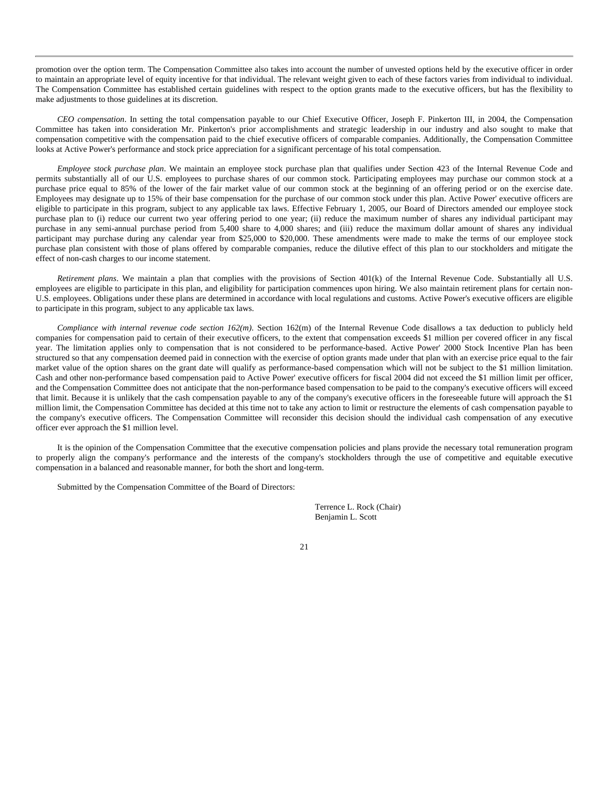promotion over the option term. The Compensation Committee also takes into account the number of unvested options held by the executive officer in order to maintain an appropriate level of equity incentive for that individual. The relevant weight given to each of these factors varies from individual to individual. The Compensation Committee has established certain guidelines with respect to the option grants made to the executive officers, but has the flexibility to make adjustments to those guidelines at its discretion.

*CEO compensation*. In setting the total compensation payable to our Chief Executive Officer, Joseph F. Pinkerton III, in 2004, the Compensation Committee has taken into consideration Mr. Pinkerton's prior accomplishments and strategic leadership in our industry and also sought to make that compensation competitive with the compensation paid to the chief executive officers of comparable companies. Additionally, the Compensation Committee looks at Active Power's performance and stock price appreciation for a significant percentage of his total compensation.

*Employee stock purchase plan*. We maintain an employee stock purchase plan that qualifies under Section 423 of the Internal Revenue Code and permits substantially all of our U.S. employees to purchase shares of our common stock. Participating employees may purchase our common stock at a purchase price equal to 85% of the lower of the fair market value of our common stock at the beginning of an offering period or on the exercise date. Employees may designate up to 15% of their base compensation for the purchase of our common stock under this plan. Active Power' executive officers are eligible to participate in this program, subject to any applicable tax laws. Effective February 1, 2005, our Board of Directors amended our employee stock purchase plan to (i) reduce our current two year offering period to one year; (ii) reduce the maximum number of shares any individual participant may purchase in any semi-annual purchase period from 5,400 share to 4,000 shares; and (iii) reduce the maximum dollar amount of shares any individual participant may purchase during any calendar year from \$25,000 to \$20,000. These amendments were made to make the terms of our employee stock purchase plan consistent with those of plans offered by comparable companies, reduce the dilutive effect of this plan to our stockholders and mitigate the effect of non-cash charges to our income statement.

*Retirement plans*. We maintain a plan that complies with the provisions of Section 401(k) of the Internal Revenue Code. Substantially all U.S. employees are eligible to participate in this plan, and eligibility for participation commences upon hiring. We also maintain retirement plans for certain non-U.S. employees. Obligations under these plans are determined in accordance with local regulations and customs. Active Power's executive officers are eligible to participate in this program, subject to any applicable tax laws.

*Compliance with internal revenue code section 162(m)*. Section 162(m) of the Internal Revenue Code disallows a tax deduction to publicly held companies for compensation paid to certain of their executive officers, to the extent that compensation exceeds \$1 million per covered officer in any fiscal year. The limitation applies only to compensation that is not considered to be performance-based. Active Power' 2000 Stock Incentive Plan has been structured so that any compensation deemed paid in connection with the exercise of option grants made under that plan with an exercise price equal to the fair market value of the option shares on the grant date will qualify as performance-based compensation which will not be subject to the \$1 million limitation. Cash and other non-performance based compensation paid to Active Power' executive officers for fiscal 2004 did not exceed the \$1 million limit per officer, and the Compensation Committee does not anticipate that the non-performance based compensation to be paid to the company's executive officers will exceed that limit. Because it is unlikely that the cash compensation payable to any of the company's executive officers in the foreseeable future will approach the \$1 million limit, the Compensation Committee has decided at this time not to take any action to limit or restructure the elements of cash compensation payable to the company's executive officers. The Compensation Committee will reconsider this decision should the individual cash compensation of any executive officer ever approach the \$1 million level.

It is the opinion of the Compensation Committee that the executive compensation policies and plans provide the necessary total remuneration program to properly align the company's performance and the interests of the company's stockholders through the use of competitive and equitable executive compensation in a balanced and reasonable manner, for both the short and long-term.

Submitted by the Compensation Committee of the Board of Directors:

Terrence L. Rock (Chair) Benjamin L. Scott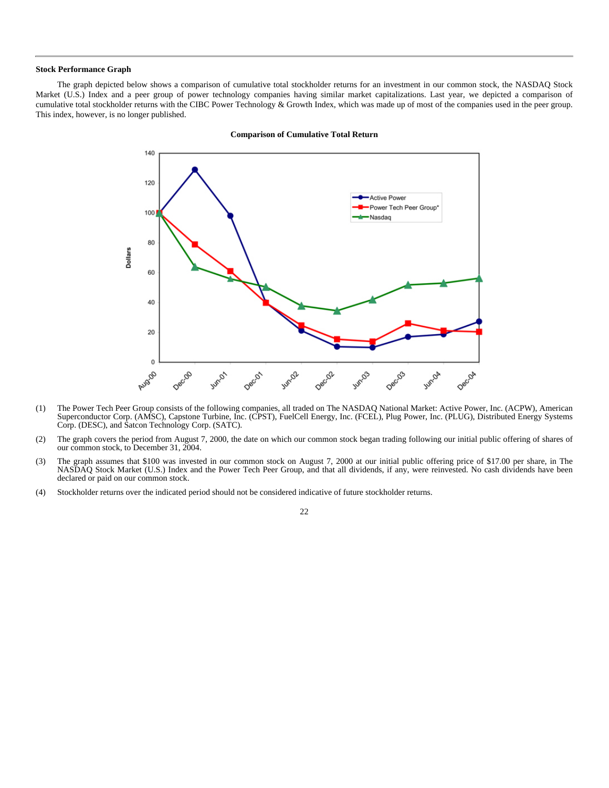### **Stock Performance Graph**

The graph depicted below shows a comparison of cumulative total stockholder returns for an investment in our common stock, the NASDAQ Stock Market (U.S.) Index and a peer group of power technology companies having similar market capitalizations. Last year, we depicted a comparison of cumulative total stockholder returns with the CIBC Power Technology & Growth Index, which was made up of most of the companies used in the peer group. This index, however, is no longer published.



#### **Comparison of Cumulative Total Return**

- (1) The Power Tech Peer Group consists of the following companies, all traded on The NASDAQ National Market: Active Power, Inc. (ACPW), American Superconductor Corp. (AMSC), Capstone Turbine, Inc. (CPST), FuelCell Energy, Inc. (FCEL), Plug Power, Inc. (PLUG), Distributed Energy Systems Corp. (DESC), and Satcon Technology Corp. (SATC).
- (2) The graph covers the period from August 7, 2000, the date on which our common stock began trading following our initial public offering of shares of our common stock, to December 31, 2004.
- (3) The graph assumes that \$100 was invested in our common stock on August 7, 2000 at our initial public offering price of \$17.00 per share, in The NASDAQ Stock Market (U.S.) Index and the Power Tech Peer Group, and that all dividends, if any, were reinvested. No cash dividends have been declared or paid on our common stock.
- (4) Stockholder returns over the indicated period should not be considered indicative of future stockholder returns.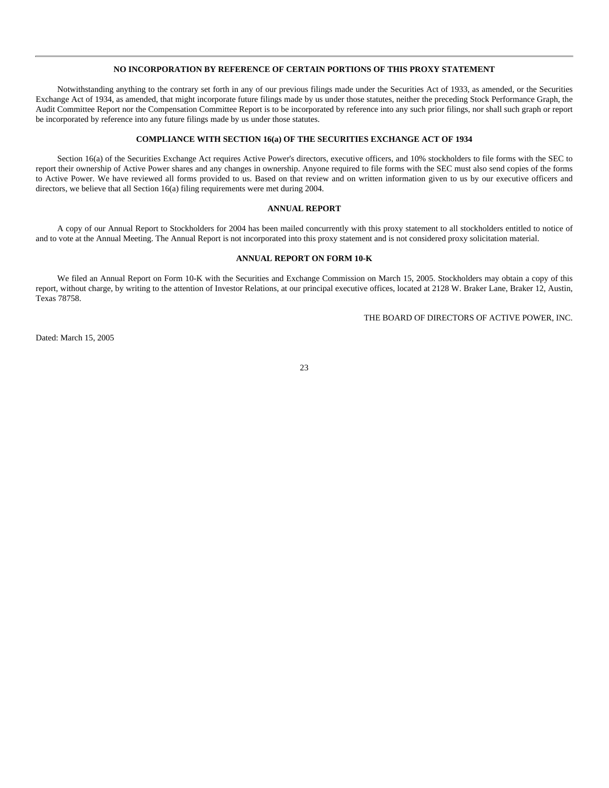# **NO INCORPORATION BY REFERENCE OF CERTAIN PORTIONS OF THIS PROXY STATEMENT**

Notwithstanding anything to the contrary set forth in any of our previous filings made under the Securities Act of 1933, as amended, or the Securities Exchange Act of 1934, as amended, that might incorporate future filings made by us under those statutes, neither the preceding Stock Performance Graph, the Audit Committee Report nor the Compensation Committee Report is to be incorporated by reference into any such prior filings, nor shall such graph or report be incorporated by reference into any future filings made by us under those statutes.

## **COMPLIANCE WITH SECTION 16(a) OF THE SECURITIES EXCHANGE ACT OF 1934**

Section 16(a) of the Securities Exchange Act requires Active Power's directors, executive officers, and 10% stockholders to file forms with the SEC to report their ownership of Active Power shares and any changes in ownership. Anyone required to file forms with the SEC must also send copies of the forms to Active Power. We have reviewed all forms provided to us. Based on that review and on written information given to us by our executive officers and directors, we believe that all Section 16(a) filing requirements were met during 2004.

## **ANNUAL REPORT**

A copy of our Annual Report to Stockholders for 2004 has been mailed concurrently with this proxy statement to all stockholders entitled to notice of and to vote at the Annual Meeting. The Annual Report is not incorporated into this proxy statement and is not considered proxy solicitation material.

# **ANNUAL REPORT ON FORM 10-K**

We filed an Annual Report on Form 10-K with the Securities and Exchange Commission on March 15, 2005. Stockholders may obtain a copy of this report, without charge, by writing to the attention of Investor Relations, at our principal executive offices, located at 2128 W. Braker Lane, Braker 12, Austin, Texas 78758.

THE BOARD OF DIRECTORS OF ACTIVE POWER, INC.

Dated: March 15, 2005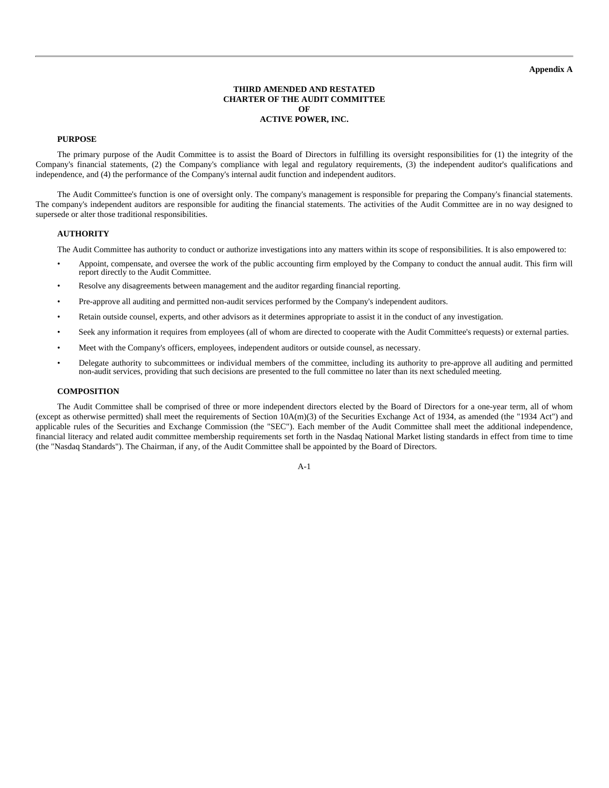# **Appendix A**

# **THIRD AMENDED AND RESTATED CHARTER OF THE AUDIT COMMITTEE OF ACTIVE POWER, INC.**

# **PURPOSE**

The primary purpose of the Audit Committee is to assist the Board of Directors in fulfilling its oversight responsibilities for (1) the integrity of the Company's financial statements, (2) the Company's compliance with legal and regulatory requirements, (3) the independent auditor's qualifications and independence, and (4) the performance of the Company's internal audit function and independent auditors.

The Audit Committee's function is one of oversight only. The company's management is responsible for preparing the Company's financial statements. The company's independent auditors are responsible for auditing the financial statements. The activities of the Audit Committee are in no way designed to supersede or alter those traditional responsibilities.

#### **AUTHORITY**

The Audit Committee has authority to conduct or authorize investigations into any matters within its scope of responsibilities. It is also empowered to:

- Appoint, compensate, and oversee the work of the public accounting firm employed by the Company to conduct the annual audit. This firm will report directly to the Audit Committee.
- Resolve any disagreements between management and the auditor regarding financial reporting.
- Pre-approve all auditing and permitted non-audit services performed by the Company's independent auditors.
- Retain outside counsel, experts, and other advisors as it determines appropriate to assist it in the conduct of any investigation.
- Seek any information it requires from employees (all of whom are directed to cooperate with the Audit Committee's requests) or external parties.
- Meet with the Company's officers, employees, independent auditors or outside counsel, as necessary.
- Delegate authority to subcommittees or individual members of the committee, including its authority to pre-approve all auditing and permitted non-audit services, providing that such decisions are presented to the full committee no later than its next scheduled meeting.

#### **COMPOSITION**

The Audit Committee shall be comprised of three or more independent directors elected by the Board of Directors for a one-year term, all of whom (except as otherwise permitted) shall meet the requirements of Section 10A(m)(3) of the Securities Exchange Act of 1934, as amended (the "1934 Act") and applicable rules of the Securities and Exchange Commission (the "SEC"). Each member of the Audit Committee shall meet the additional independence, financial literacy and related audit committee membership requirements set forth in the Nasdaq National Market listing standards in effect from time to time (the "Nasdaq Standards"). The Chairman, if any, of the Audit Committee shall be appointed by the Board of Directors.

A-1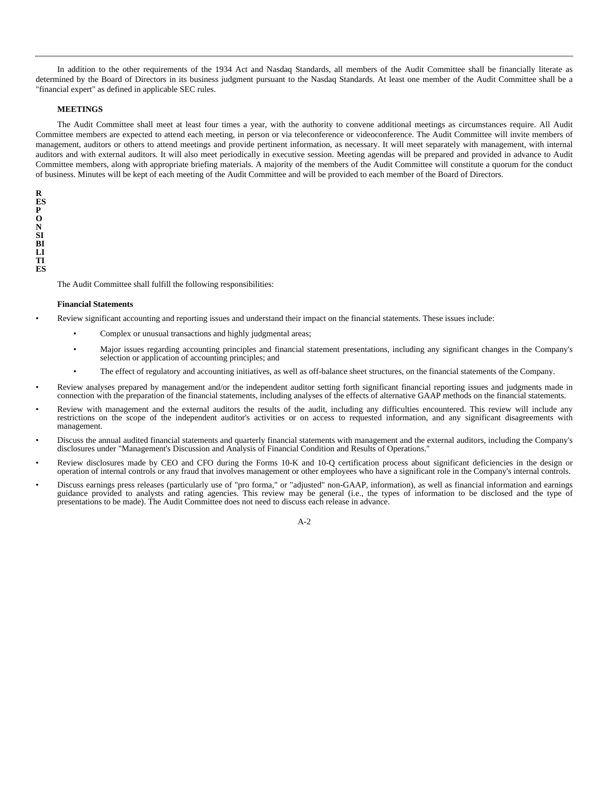In addition to the other requirements of the 1934 Act and Nasdaq Standards, all members of the Audit Committee shall be financially literate as determined by the Board of Directors in its business judgment pursuant to the Nasdaq Standards. At least one member of the Audit Committee shall be a "financial expert" as defined in applicable SEC rules.

## **MEETINGS**

The Audit Committee shall meet at least four times a year, with the authority to convene additional meetings as circumstances require. All Audit Committee members are expected to attend each meeting, in person or via teleconference or videoconference. The Audit Committee will invite members of management, auditors or others to attend meetings and provide pertinent information, as necessary. It will meet separately with management, with internal auditors and with external auditors. It will also meet periodically in executive session. Meeting agendas will be prepared and provided in advance to Audit Committee members, along with appropriate briefing materials. A majority of the members of the Audit Committee will constitute a quorum for the conduct of business. Minutes will be kept of each meeting of the Audit Committee and will be provided to each member of the Board of Directors.

**R ES P O N SI BI LI TI ES**

The Audit Committee shall fulfill the following responsibilities:

#### **Financial Statements**

- Review significant accounting and reporting issues and understand their impact on the financial statements. These issues include:
	- Complex or unusual transactions and highly judgmental areas;
	- Major issues regarding accounting principles and financial statement presentations, including any significant changes in the Company's selection or application of accounting principles; and
	- The effect of regulatory and accounting initiatives, as well as off-balance sheet structures, on the financial statements of the Company.
- Review analyses prepared by management and/or the independent auditor setting forth significant financial reporting issues and judgments made in connection with the preparation of the financial statements, including analyses of the effects of alternative GAAP methods on the financial statements.
- Review with management and the external auditors the results of the audit, including any difficulties encountered. This review will include any restrictions on the scope of the independent auditor's activities or on access to requested information, and any significant disagreements with management.
- Discuss the annual audited financial statements and quarterly financial statements with management and the external auditors, including the Company's disclosures under "Management's Discussion and Analysis of Financial Condition and Results of Operations."
- Review disclosures made by CEO and CFO during the Forms 10-K and 10-Q certification process about significant deficiencies in the design or operation of internal controls or any fraud that involves management or other employees who have a significant role in the Company's internal controls.
- Discuss earnings press releases (particularly use of "pro forma," or "adjusted" non-GAAP, information), as well as financial information and earnings guidance provided to analysts and rating agencies. This review may be general (i.e., the types of information to be disclosed and the type of presentations to be made). The Audit Committee does not need to discuss each release in advance.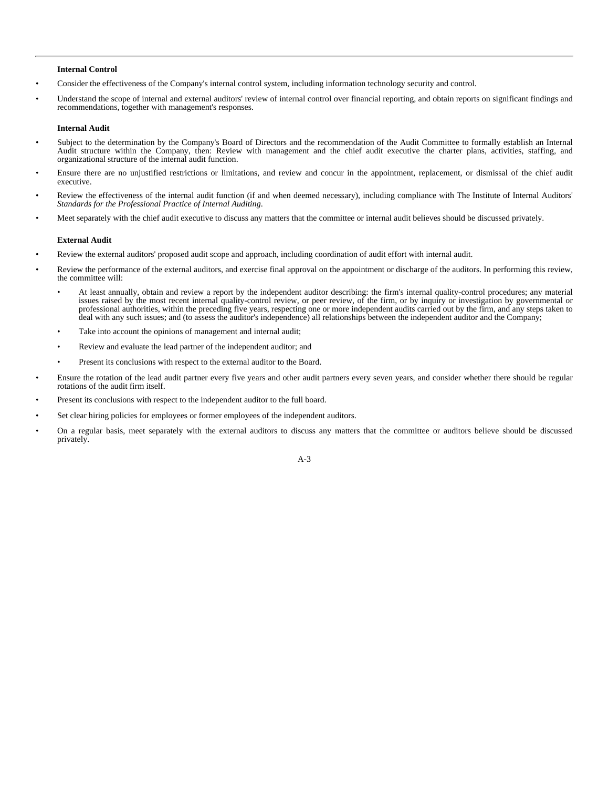#### **Internal Control**

- Consider the effectiveness of the Company's internal control system, including information technology security and control.
- Understand the scope of internal and external auditors' review of internal control over financial reporting, and obtain reports on significant findings and recommendations, together with management's responses.

#### **Internal Audit**

- Subject to the determination by the Company's Board of Directors and the recommendation of the Audit Committee to formally establish an Internal Audit structure within the Company, then: Review with management and the chief audit executive the charter plans, activities, staffing, and organizational structure of the internal audit function.
- Ensure there are no unjustified restrictions or limitations, and review and concur in the appointment, replacement, or dismissal of the chief audit executive.
- Review the effectiveness of the internal audit function (if and when deemed necessary), including compliance with The Institute of Internal Auditors' *Standards for the Professional Practice of Internal Auditing*.
- Meet separately with the chief audit executive to discuss any matters that the committee or internal audit believes should be discussed privately.

### **External Audit**

- Review the external auditors' proposed audit scope and approach, including coordination of audit effort with internal audit.
- Review the performance of the external auditors, and exercise final approval on the appointment or discharge of the auditors. In performing this review, the committee will:
	- At least annually, obtain and review a report by the independent auditor describing: the firm's internal quality-control procedures; any material issues raised by the most recent internal quality-control review, or peer review, of the firm, or by inquiry or investigation by governmental or professional authorities, within the preceding five years, respecting one or more independent audits carried out by the firm, and any steps taken to deal with any such issues; and (to assess the auditor's independence) all relationships between the independent auditor and the Company;
	- Take into account the opinions of management and internal audit;
	- Review and evaluate the lead partner of the independent auditor; and
	- Present its conclusions with respect to the external auditor to the Board.
- Ensure the rotation of the lead audit partner every five years and other audit partners every seven years, and consider whether there should be regular rotations of the audit firm itself.
- Present its conclusions with respect to the independent auditor to the full board.
- Set clear hiring policies for employees or former employees of the independent auditors.
- On a regular basis, meet separately with the external auditors to discuss any matters that the committee or auditors believe should be discussed privately.

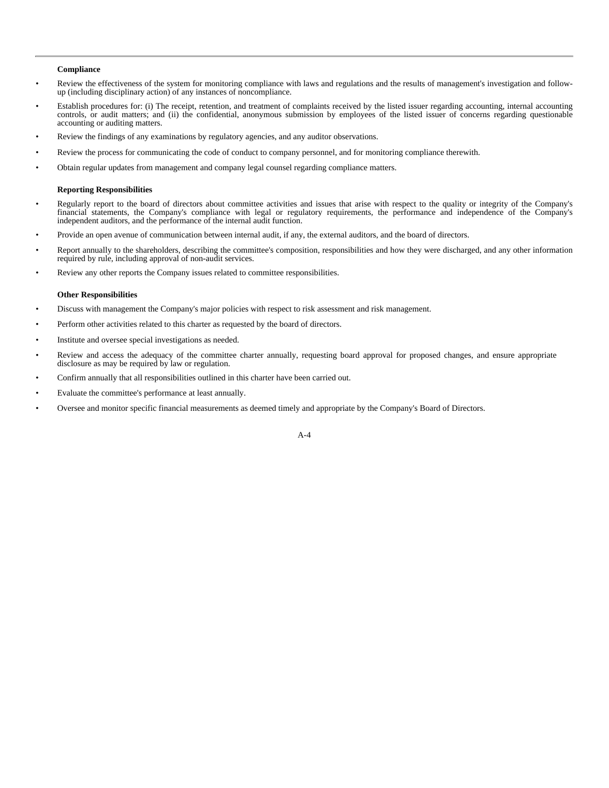## **Compliance**

- Review the effectiveness of the system for monitoring compliance with laws and regulations and the results of management's investigation and followup (including disciplinary action) of any instances of noncompliance.
- Establish procedures for: (i) The receipt, retention, and treatment of complaints received by the listed issuer regarding accounting, internal accounting controls, or audit matters; and (ii) the confidential, anonymous submission by employees of the listed issuer of concerns regarding questionable accounting or auditing matters.
- Review the findings of any examinations by regulatory agencies, and any auditor observations.
- Review the process for communicating the code of conduct to company personnel, and for monitoring compliance therewith.
- Obtain regular updates from management and company legal counsel regarding compliance matters.

## **Reporting Responsibilities**

- Regularly report to the board of directors about committee activities and issues that arise with respect to the quality or integrity of the Company's financial statements, the Company's compliance with legal or regulatory requirements, the performance and independence of the Company's independent auditors, and the performance of the internal audit function.
- Provide an open avenue of communication between internal audit, if any, the external auditors, and the board of directors.
- Report annually to the shareholders, describing the committee's composition, responsibilities and how they were discharged, and any other information required by rule, including approval of non-audit services.
- Review any other reports the Company issues related to committee responsibilities.

## **Other Responsibilities**

- Discuss with management the Company's major policies with respect to risk assessment and risk management.
- Perform other activities related to this charter as requested by the board of directors.
- Institute and oversee special investigations as needed.
- Review and access the adequacy of the committee charter annually, requesting board approval for proposed changes, and ensure appropriate disclosure as may be required by law or regulation.
- Confirm annually that all responsibilities outlined in this charter have been carried out.
- Evaluate the committee's performance at least annually.
- Oversee and monitor specific financial measurements as deemed timely and appropriate by the Company's Board of Directors.

#### A-4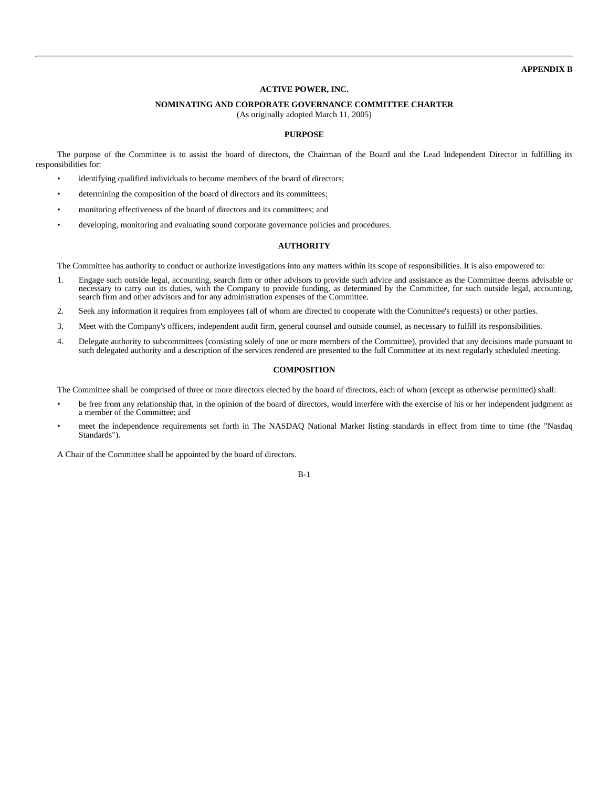**APPENDIX B**

### **ACTIVE POWER, INC.**

# **NOMINATING AND CORPORATE GOVERNANCE COMMITTEE CHARTER**

(As originally adopted March 11, 2005)

# **PURPOSE**

The purpose of the Committee is to assist the board of directors, the Chairman of the Board and the Lead Independent Director in fulfilling its responsibilities for:

- identifying qualified individuals to become members of the board of directors;
- determining the composition of the board of directors and its committees;
- monitoring effectiveness of the board of directors and its committees; and
- developing, monitoring and evaluating sound corporate governance policies and procedures.

# **AUTHORITY**

The Committee has authority to conduct or authorize investigations into any matters within its scope of responsibilities. It is also empowered to:

- 1. Engage such outside legal, accounting, search firm or other advisors to provide such advice and assistance as the Committee deems advisable or necessary to carry out its duties, with the Company to provide funding, as determined by the Committee, for such outside legal, accounting, search firm and other advisors and for any administration expenses of the Committee.
- 2. Seek any information it requires from employees (all of whom are directed to cooperate with the Committee's requests) or other parties.
- 3. Meet with the Company's officers, independent audit firm, general counsel and outside counsel, as necessary to fulfill its responsibilities.
- 4. Delegate authority to subcommittees (consisting solely of one or more members of the Committee), provided that any decisions made pursuant to such delegated authority and a description of the services rendered are presented to the full Committee at its next regularly scheduled meeting.

## **COMPOSITION**

The Committee shall be comprised of three or more directors elected by the board of directors, each of whom (except as otherwise permitted) shall:

- be free from any relationship that, in the opinion of the board of directors, would interfere with the exercise of his or her independent judgment as a member of the Committee; and
- meet the independence requirements set forth in The NASDAQ National Market listing standards in effect from time to time (the "Nasdaq Standards").

A Chair of the Committee shall be appointed by the board of directors.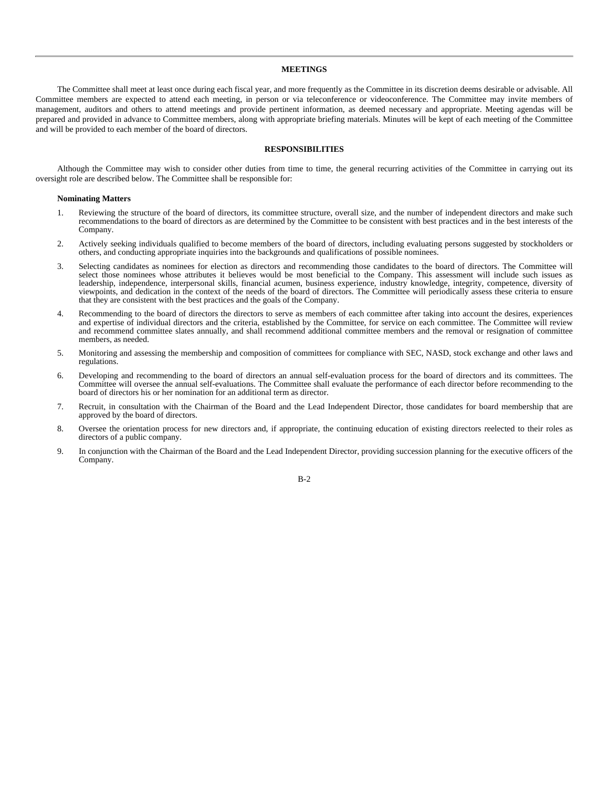## **MEETINGS**

The Committee shall meet at least once during each fiscal year, and more frequently as the Committee in its discretion deems desirable or advisable. All Committee members are expected to attend each meeting, in person or via teleconference or videoconference. The Committee may invite members of management, auditors and others to attend meetings and provide pertinent information, as deemed necessary and appropriate. Meeting agendas will be prepared and provided in advance to Committee members, along with appropriate briefing materials. Minutes will be kept of each meeting of the Committee and will be provided to each member of the board of directors.

# **RESPONSIBILITIES**

Although the Committee may wish to consider other duties from time to time, the general recurring activities of the Committee in carrying out its oversight role are described below. The Committee shall be responsible for:

#### **Nominating Matters**

- 1. Reviewing the structure of the board of directors, its committee structure, overall size, and the number of independent directors and make such recommendations to the board of directors as are determined by the Committee to be consistent with best practices and in the best interests of the Company.
- 2. Actively seeking individuals qualified to become members of the board of directors, including evaluating persons suggested by stockholders or others, and conducting appropriate inquiries into the backgrounds and qualifications of possible nominees.
- 3. Selecting candidates as nominees for election as directors and recommending those candidates to the board of directors. The Committee will select those nominees whose attributes it believes would be most beneficial to the Company. This assessment will include such issues as leadership, independence, interpersonal skills, financial acumen, business experience, industry knowledge, integrity, competence, diversity of viewpoints, and dedication in the context of the needs of the board of directors. The Committee will periodically assess these criteria to ensure that they are consistent with the best practices and the goals of the Company.
- 4. Recommending to the board of directors the directors to serve as members of each committee after taking into account the desires, experiences and expertise of individual directors and the criteria, established by the Committee, for service on each committee. The Committee will review and recommend committee slates annually, and shall recommend additional committee members and the removal or resignation of committee members, as needed.
- 5. Monitoring and assessing the membership and composition of committees for compliance with SEC, NASD, stock exchange and other laws and regulations.
- 6. Developing and recommending to the board of directors an annual self-evaluation process for the board of directors and its committees. The Committee will oversee the annual self-evaluations. The Committee shall evaluate the performance of each director before recommending to the board of directors his or her nomination for an additional term as director.
- 7. Recruit, in consultation with the Chairman of the Board and the Lead Independent Director, those candidates for board membership that are approved by the board of directors.
- 8. Oversee the orientation process for new directors and, if appropriate, the continuing education of existing directors reelected to their roles as directors of a public company.
- 9. In conjunction with the Chairman of the Board and the Lead Independent Director, providing succession planning for the executive officers of the Company.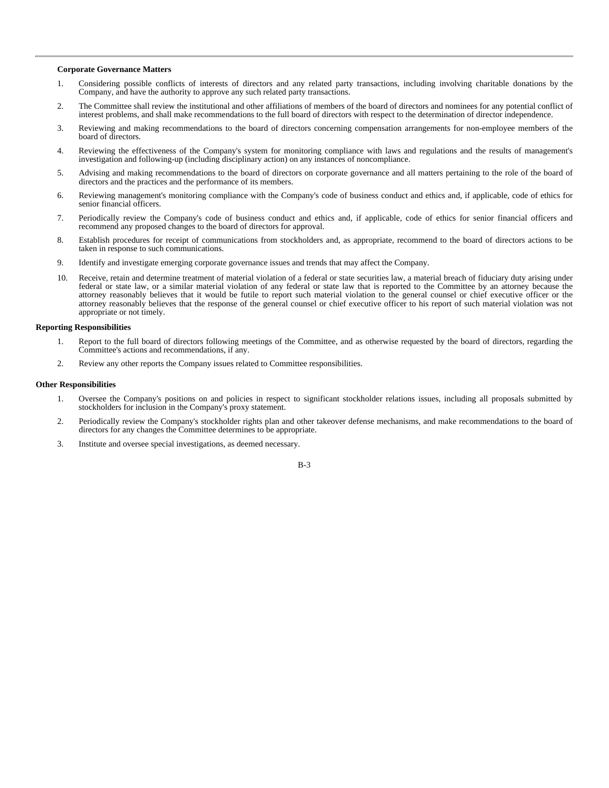## **Corporate Governance Matters**

- 1. Considering possible conflicts of interests of directors and any related party transactions, including involving charitable donations by the Company, and have the authority to approve any such related party transactions.
- 2. The Committee shall review the institutional and other affiliations of members of the board of directors and nominees for any potential conflict of interest problems, and shall make recommendations to the full board of directors with respect to the determination of director independence.
- 3. Reviewing and making recommendations to the board of directors concerning compensation arrangements for non-employee members of the board of directors.
- 4. Reviewing the effectiveness of the Company's system for monitoring compliance with laws and regulations and the results of management's investigation and following-up (including disciplinary action) on any instances of noncompliance.
- 5. Advising and making recommendations to the board of directors on corporate governance and all matters pertaining to the role of the board of directors and the practices and the performance of its members.
- 6. Reviewing management's monitoring compliance with the Company's code of business conduct and ethics and, if applicable, code of ethics for senior financial officers.
- 7. Periodically review the Company's code of business conduct and ethics and, if applicable, code of ethics for senior financial officers and recommend any proposed changes to the board of directors for approval.
- 8. Establish procedures for receipt of communications from stockholders and, as appropriate, recommend to the board of directors actions to be taken in response to such communications.
- 9. Identify and investigate emerging corporate governance issues and trends that may affect the Company.
- 10. Receive, retain and determine treatment of material violation of a federal or state securities law, a material breach of fiduciary duty arising under federal or state law, or a similar material violation of any federal or state law that is reported to the Committee by an attorney because the attorney reasonably believes that it would be futile to report such material violation to the general counsel or chief executive officer or the attorney reasonably believes that the response of the general counsel or chief executive officer to his report of such material violation was not appropriate or not timely.

#### **Reporting Responsibilities**

- 1. Report to the full board of directors following meetings of the Committee, and as otherwise requested by the board of directors, regarding the Committee's actions and recommendations, if any.
- 2. Review any other reports the Company issues related to Committee responsibilities.

#### **Other Responsibilities**

- 1. Oversee the Company's positions on and policies in respect to significant stockholder relations issues, including all proposals submitted by stockholders for inclusion in the Company's proxy statement.
- 2. Periodically review the Company's stockholder rights plan and other takeover defense mechanisms, and make recommendations to the board of directors for any changes the Committee determines to be appropriate.
- 3. Institute and oversee special investigations, as deemed necessary.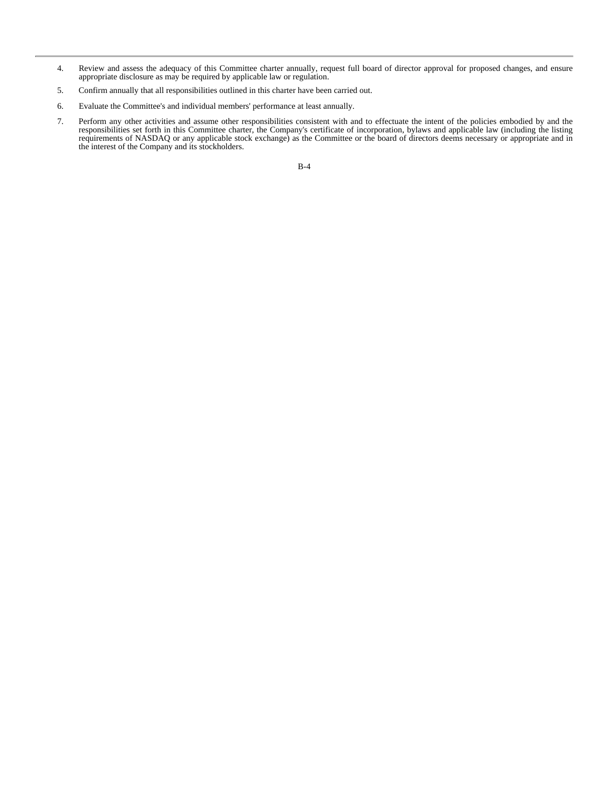- 4. Review and assess the adequacy of this Committee charter annually, request full board of director approval for proposed changes, and ensure appropriate disclosure as may be required by applicable law or regulation.
- 5. Confirm annually that all responsibilities outlined in this charter have been carried out.
- 6. Evaluate the Committee's and individual members' performance at least annually.
- 7. Perform any other activities and assume other responsibilities consistent with and to effectuate the intent of the policies embodied by and the responsibilities set forth in this Committee charter, the Company's certificate of incorporation, bylaws and applicable law (including the listing requirements of NASDAQ or any applicable stock exchange) as the Committee or the board of directors deems necessary or appropriate and in the interest of the Company and its stockholders.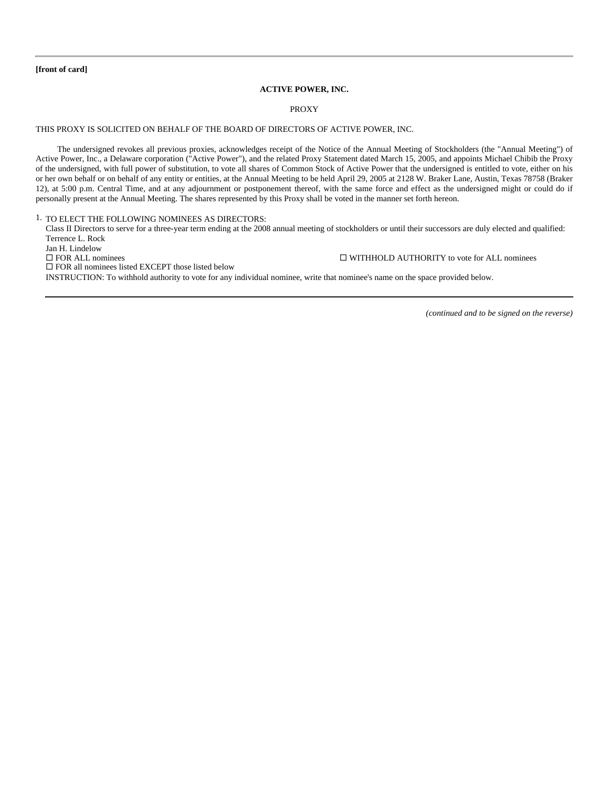**[front of card]**

## **ACTIVE POWER, INC.**

## PROXY

# THIS PROXY IS SOLICITED ON BEHALF OF THE BOARD OF DIRECTORS OF ACTIVE POWER, INC.

The undersigned revokes all previous proxies, acknowledges receipt of the Notice of the Annual Meeting of Stockholders (the "Annual Meeting") of Active Power, Inc., a Delaware corporation ("Active Power"), and the related Proxy Statement dated March 15, 2005, and appoints Michael Chibib the Proxy of the undersigned, with full power of substitution, to vote all shares of Common Stock of Active Power that the undersigned is entitled to vote, either on his or her own behalf or on behalf of any entity or entities, at the Annual Meeting to be held April 29, 2005 at 2128 W. Braker Lane, Austin, Texas 78758 (Braker 12), at 5:00 p.m. Central Time, and at any adjournment or postponement thereof, with the same force and effect as the undersigned might or could do if personally present at the Annual Meeting. The shares represented by this Proxy shall be voted in the manner set forth hereon.

# 1. TO ELECT THE FOLLOWING NOMINEES AS DIRECTORS:

 Class II Directors to serve for a three-year term ending at the 2008 annual meeting of stockholders or until their successors are duly elected and qualified: Terrence L. Rock

Jan H. Lindelow  $\square$  FOR ALL nominees  $\square$  WITHHOLD AUTHORITY to vote for ALL nominees  $\Box$  FOR all nominees listed EXCEPT those listed below INSTRUCTION: To withhold authority to vote for any individual nominee, write that nominee's name on the space provided below.

*(continued and to be signed on the reverse)*